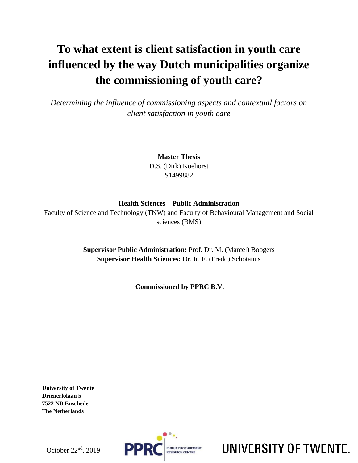# **To what extent is client satisfaction in youth care influenced by the way Dutch municipalities organize the commissioning of youth care?**

*Determining the influence of commissioning aspects and contextual factors on client satisfaction in youth care*

> **Master Thesis**  D.S. (Dirk) Koehorst S1499882

## **Health Sciences – Public Administration**

Faculty of Science and Technology (TNW) and Faculty of Behavioural Management and Social sciences (BMS)

> **Supervisor Public Administration:** Prof. Dr. M. (Marcel) Boogers **Supervisor Health Sciences:** Dr. Ir. F. (Fredo) Schotanus

> > **Commissioned by PPRC B.V.**

**University of Twente Drienerlolaan 5 7522 NB Enschede The Netherlands**



UNIVERSITY OF TWENTE.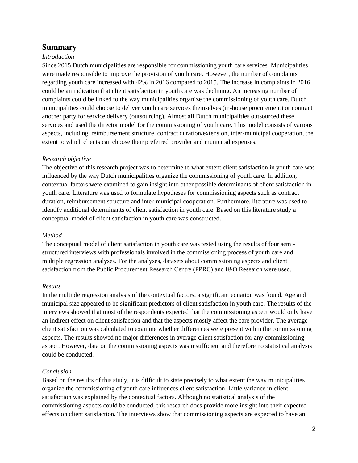## **Summary**

#### *Introduction*

Since 2015 Dutch municipalities are responsible for commissioning youth care services. Municipalities were made responsible to improve the provision of youth care. However, the number of complaints regarding youth care increased with 42% in 2016 compared to 2015. The increase in complaints in 2016 could be an indication that client satisfaction in youth care was declining. An increasing number of complaints could be linked to the way municipalities organize the commissioning of youth care. Dutch municipalities could choose to deliver youth care services themselves (in-house procurement) or contract another party for service delivery (outsourcing). Almost all Dutch municipalities outsourced these services and used the director model for the commissioning of youth care. This model consists of various aspects, including, reimbursement structure, contract duration/extension, inter-municipal cooperation, the extent to which clients can choose their preferred provider and municipal expenses.

#### *Research objective*

The objective of this research project was to determine to what extent client satisfaction in youth care was influenced by the way Dutch municipalities organize the commissioning of youth care. In addition, contextual factors were examined to gain insight into other possible determinants of client satisfaction in youth care. Literature was used to formulate hypotheses for commissioning aspects such as contract duration, reimbursement structure and inter-municipal cooperation. Furthermore, literature was used to identify additional determinants of client satisfaction in youth care. Based on this literature study a conceptual model of client satisfaction in youth care was constructed.

#### *Method*

The conceptual model of client satisfaction in youth care was tested using the results of four semistructured interviews with professionals involved in the commissioning process of youth care and multiple regression analyses. For the analyses, datasets about commissioning aspects and client satisfaction from the Public Procurement Research Centre (PPRC) and I&O Research were used.

#### *Results*

In the multiple regression analysis of the contextual factors, a significant equation was found. Age and municipal size appeared to be significant predictors of client satisfaction in youth care. The results of the interviews showed that most of the respondents expected that the commissioning aspect would only have an indirect effect on client satisfaction and that the aspects mostly affect the care provider. The average client satisfaction was calculated to examine whether differences were present within the commissioning aspects. The results showed no major differences in average client satisfaction for any commissioning aspect. However, data on the commissioning aspects was insufficient and therefore no statistical analysis could be conducted.

#### *Conclusion*

Based on the results of this study, it is difficult to state precisely to what extent the way municipalities organize the commissioning of youth care influences client satisfaction. Little variance in client satisfaction was explained by the contextual factors. Although no statistical analysis of the commissioning aspects could be conducted, this research does provide more insight into their expected effects on client satisfaction. The interviews show that commissioning aspects are expected to have an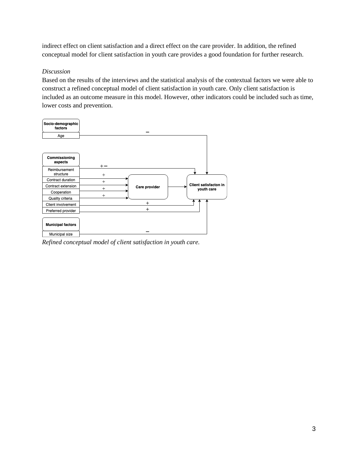indirect effect on client satisfaction and a direct effect on the care provider. In addition, the refined conceptual model for client satisfaction in youth care provides a good foundation for further research.

#### *Discussion*

Based on the results of the interviews and the statistical analysis of the contextual factors we were able to construct a refined conceptual model of client satisfaction in youth care. Only client satisfaction is included as an outcome measure in this model. However, other indicators could be included such as time, lower costs and prevention.



*Refined conceptual model of client satisfaction in youth care.*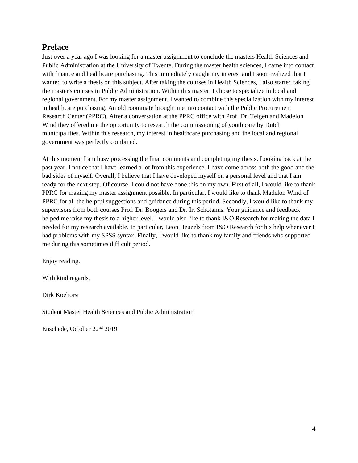## **Preface**

Just over a year ago I was looking for a master assignment to conclude the masters Health Sciences and Public Administration at the University of Twente. During the master health sciences, I came into contact with finance and healthcare purchasing. This immediately caught my interest and I soon realized that I wanted to write a thesis on this subject. After taking the courses in Health Sciences, I also started taking the master's courses in Public Administration. Within this master, I chose to specialize in local and regional government. For my master assignment, I wanted to combine this specialization with my interest in healthcare purchasing. An old roommate brought me into contact with the Public Procurement Research Center (PPRC). After a conversation at the PPRC office with Prof. Dr. Telgen and Madelon Wind they offered me the opportunity to research the commissioning of youth care by Dutch municipalities. Within this research, my interest in healthcare purchasing and the local and regional government was perfectly combined.

At this moment I am busy processing the final comments and completing my thesis. Looking back at the past year, I notice that I have learned a lot from this experience. I have come across both the good and the bad sides of myself. Overall, I believe that I have developed myself on a personal level and that I am ready for the next step. Of course, I could not have done this on my own. First of all, I would like to thank PPRC for making my master assignment possible. In particular, I would like to thank Madelon Wind of PPRC for all the helpful suggestions and guidance during this period. Secondly, I would like to thank my supervisors from both courses Prof. Dr. Boogers and Dr. Ir. Schotanus. Your guidance and feedback helped me raise my thesis to a higher level. I would also like to thank I&O Research for making the data I needed for my research available. In particular, Leon Heuzels from I&O Research for his help whenever I had problems with my SPSS syntax. Finally, I would like to thank my family and friends who supported me during this sometimes difficult period.

Enjoy reading.

With kind regards,

Dirk Koehorst

Student Master Health Sciences and Public Administration

Enschede, October 22<sup>nd</sup> 2019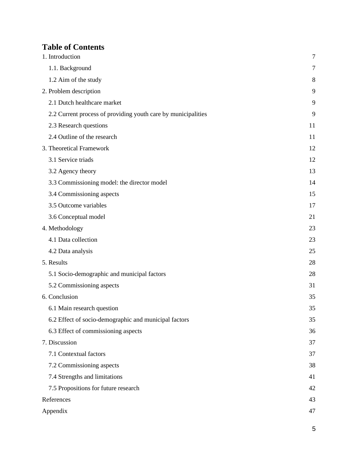## **Table of Contents**

| 1. Introduction                                               | $\tau$ |
|---------------------------------------------------------------|--------|
| 1.1. Background                                               | $\tau$ |
| 1.2 Aim of the study                                          | 8      |
| 2. Problem description                                        | 9      |
| 2.1 Dutch healthcare market                                   | 9      |
| 2.2 Current process of providing youth care by municipalities | 9      |
| 2.3 Research questions                                        | 11     |
| 2.4 Outline of the research                                   | 11     |
| 3. Theoretical Framework                                      | 12     |
| 3.1 Service triads                                            | 12     |
| 3.2 Agency theory                                             | 13     |
| 3.3 Commissioning model: the director model                   | 14     |
| 3.4 Commissioning aspects                                     | 15     |
| 3.5 Outcome variables                                         | 17     |
| 3.6 Conceptual model                                          | 21     |
| 4. Methodology                                                | 23     |
| 4.1 Data collection                                           | 23     |
| 4.2 Data analysis                                             | 25     |
| 5. Results                                                    | 28     |
| 5.1 Socio-demographic and municipal factors                   | 28     |
| 5.2 Commissioning aspects                                     | 31     |
| 6. Conclusion                                                 | 35     |
| 6.1 Main research question                                    | 35     |
| 6.2 Effect of socio-demographic and municipal factors         | 35     |
| 6.3 Effect of commissioning aspects                           | 36     |
| 7. Discussion                                                 | 37     |
| 7.1 Contextual factors                                        | 37     |
| 7.2 Commissioning aspects                                     | 38     |
| 7.4 Strengths and limitations                                 | 41     |
| 7.5 Propositions for future research                          | 42     |
| References                                                    | 43     |
| Appendix                                                      | 47     |

5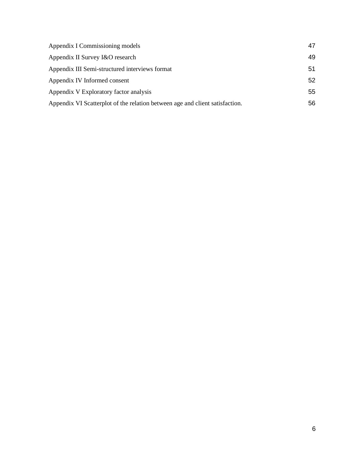| Appendix I Commissioning models                                              | 47 |
|------------------------------------------------------------------------------|----|
| Appendix II Survey I&O research                                              | 49 |
| Appendix III Semi-structured interviews format                               | 51 |
| Appendix IV Informed consent                                                 | 52 |
| Appendix V Exploratory factor analysis                                       | 55 |
| Appendix VI Scatterplot of the relation between age and client satisfaction. | 56 |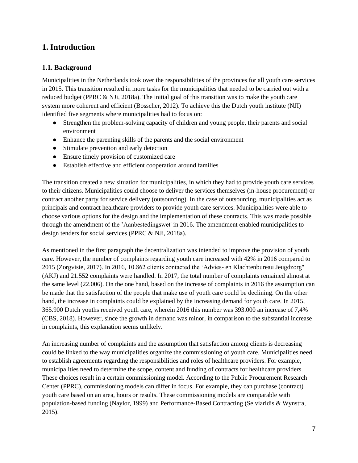## <span id="page-6-0"></span>**1. Introduction**

## <span id="page-6-1"></span>**1.1. Background**

Municipalities in the Netherlands took over the responsibilities of the provinces for all youth care services in 2015. This transition resulted in more tasks for the municipalities that needed to be carried out with a reduced budget (PPRC & NJi, 2018a). The initial goal of this transition was to make the youth care system more coherent and efficient (Bosscher, 2012). To achieve this the Dutch youth institute (NJI) identified five segments where municipalities had to focus on:

- Strengthen the problem-solving capacity of children and young people, their parents and social environment
- Enhance the parenting skills of the parents and the social environment
- Stimulate prevention and early detection
- Ensure timely provision of customized care
- Establish effective and efficient cooperation around families

The transition created a new situation for municipalities, in which they had to provide youth care services to their citizens. Municipalities could choose to deliver the services themselves (in-house procurement) or contract another party for service delivery (outsourcing). In the case of outsourcing, municipalities act as principals and contract healthcare providers to provide youth care services. Municipalities were able to choose various options for the design and the implementation of these contracts. This was made possible through the amendment of the 'Aanbestedingswet' in 2016. The amendment enabled municipalities to design tenders for social services (PPRC & NJi, 2018a).

As mentioned in the first paragraph the decentralization was intended to improve the provision of youth care. However, the number of complaints regarding youth care increased with 42% in 2016 compared to 2015 (Zorgvisie, 2017). In 2016, 10.862 clients contacted the 'Advies- en Klachtenbureau Jeugdzorg'' (AKJ) and 21.552 complaints were handled. In 2017, the total number of complaints remained almost at the same level (22.006). On the one hand, based on the increase of complaints in 2016 the assumption can be made that the satisfaction of the people that make use of youth care could be declining. On the other hand, the increase in complaints could be explained by the increasing demand for youth care. In 2015, 365.900 Dutch youths received youth care, wherein 2016 this number was 393.000 an increase of 7,4% (CBS, 2018). However, since the growth in demand was minor, in comparison to the substantial increase in complaints, this explanation seems unlikely.

An increasing number of complaints and the assumption that satisfaction among clients is decreasing could be linked to the way municipalities organize the commissioning of youth care. Municipalities need to establish agreements regarding the responsibilities and roles of healthcare providers. For example, municipalities need to determine the scope, content and funding of contracts for healthcare providers. These choices result in a certain commissioning model. According to the Public Procurement Research Center (PPRC), commissioning models can differ in focus. For example, they can purchase (contract) youth care based on an area, hours or results. These commissioning models are comparable with population-based funding (Naylor, 1999) and Performance-Based Contracting (Selviaridis & Wynstra, 2015).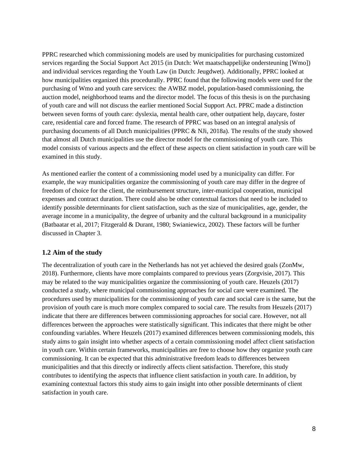PPRC researched which commissioning models are used by municipalities for purchasing customized services regarding the Social Support Act 2015 (in Dutch: Wet maatschappelijke ondersteuning [Wmo]) and individual services regarding the Youth Law (in Dutch: Jeugdwet). Additionally, PPRC looked at how municipalities organized this procedurally. PPRC found that the following models were used for the purchasing of Wmo and youth care services: the AWBZ model, population-based commissioning, the auction model, neighborhood teams and the director model. The focus of this thesis is on the purchasing of youth care and will not discuss the earlier mentioned Social Support Act. PPRC made a distinction between seven forms of youth care: dyslexia, mental health care, other outpatient help, daycare, foster care, residential care and forced frame. The research of PPRC was based on an integral analysis of purchasing documents of all Dutch municipalities (PPRC & NJi, 2018a). The results of the study showed that almost all Dutch municipalities use the director model for the commissioning of youth care. This model consists of various aspects and the effect of these aspects on client satisfaction in youth care will be examined in this study.

As mentioned earlier the content of a commissioning model used by a municipality can differ. For example, the way municipalities organize the commissioning of youth care may differ in the degree of freedom of choice for the client, the reimbursement structure, inter-municipal cooperation, municipal expenses and contract duration. There could also be other contextual factors that need to be included to identify possible determinants for client satisfaction, such as the size of municipalities, age, gender, the average income in a municipality, the degree of urbanity and the cultural background in a municipality (Batbaatar et al, 2017; Fitzgerald & Durant, 1980; Swianiewicz, 2002). These factors will be further discussed in Chapter 3.

## <span id="page-7-0"></span>**1.2 Aim of the study**

The decentralization of youth care in the Netherlands has not yet achieved the desired goals (ZonMw, 2018). Furthermore, clients have more complaints compared to previous years (Zorgvisie, 2017). This may be related to the way municipalities organize the commissioning of youth care. Heuzels (2017) conducted a study, where municipal commissioning approaches for social care were examined. The procedures used by municipalities for the commissioning of youth care and social care is the same, but the provision of youth care is much more complex compared to social care. The results from Heuzels (2017) indicate that there are differences between commissioning approaches for social care. However, not all differences between the approaches were statistically significant. This indicates that there might be other confounding variables. Where Heuzels (2017) examined differences between commissioning models, this study aims to gain insight into whether aspects of a certain commissioning model affect client satisfaction in youth care. Within certain frameworks, municipalities are free to choose how they organize youth care commissioning. It can be expected that this administrative freedom leads to differences between municipalities and that this directly or indirectly affects client satisfaction. Therefore, this study contributes to identifying the aspects that influence client satisfaction in youth care. In addition, by examining contextual factors this study aims to gain insight into other possible determinants of client satisfaction in youth care.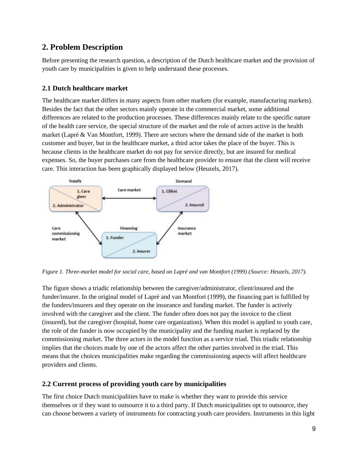## <span id="page-8-0"></span>**2. Problem Description**

Before presenting the research question, a description of the Dutch healthcare market and the provision of youth care by municipalities is given to help understand these processes.

## <span id="page-8-1"></span>**2.1 Dutch healthcare market**

The healthcare market differs in many aspects from other markets (for example, manufacturing markets). Besides the fact that the other sectors mainly operate in the commercial market, some additional differences are related to the production processes. These differences mainly relate to the specific nature of the health care service, the special structure of the market and the role of actors active in the health market (Lapré & Van Montfort, 1999). There are sectors where the demand side of the market is both customer and buyer, but in the healthcare market, a third actor takes the place of the buyer. This is because clients in the healthcare market do not pay for service directly, but are insured for medical expenses. So, the buyer purchases care from the healthcare provider to ensure that the client will receive care. This interaction has been graphically displayed below (Heuzels, 2017).



*Figure 1. Three-market model for social care, based on Lapré and van Montfort (1999) (Source: Heuzels, 2017).*

The figure shows a triadic relationship between the caregiver/administrator, client/insured and the funder/insurer. In the original model of Lapré and van Montfort (1999), the financing part is fulfilled by the funders/insurers and they operate on the insurance and funding market. The funder is actively involved with the caregiver and the client. The funder often does not pay the invoice to the client (insured), but the caregiver (hospital, home care organization). When this model is applied to youth care, the role of the funder is now occupied by the municipality and the funding market is replaced by the commissioning market. The three actors in the model function as a service triad. This triadic relationship implies that the choices made by one of the actors affect the other parties involved in the triad. This means that the choices municipalities make regarding the commissioning aspects will affect healthcare providers and clients.

## <span id="page-8-2"></span>**2.2 Current process of providing youth care by municipalities**

The first choice Dutch municipalities have to make is whether they want to provide this service themselves or if they want to outsource it to a third party. If Dutch municipalities opt to outsource, they can choose between a variety of instruments for contracting youth care providers. Instruments in this light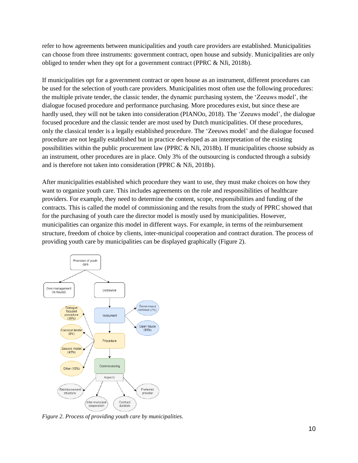refer to how agreements between municipalities and youth care providers are established. Municipalities can choose from three instruments: government contract, open house and subsidy. Municipalities are only obliged to tender when they opt for a government contract (PPRC & NJi, 2018b).

If municipalities opt for a government contract or open house as an instrument, different procedures can be used for the selection of youth care providers. Municipalities most often use the following procedures: the multiple private tender, the classic tender, the dynamic purchasing system, the 'Zeeuws model', the dialogue focused procedure and performance purchasing. More procedures exist, but since these are hardly used, they will not be taken into consideration (PIANOo, 2018). The 'Zeeuws model', the dialogue focused procedure and the classic tender are most used by Dutch municipalities. Of these procedures, only the classical tender is a legally established procedure. The 'Zeeuws model' and the dialogue focused procedure are not legally established but in practice developed as an interpretation of the existing possibilities within the public procurement law (PPRC & NJi, 2018b). If municipalities choose subsidy as an instrument, other procedures are in place. Only 3% of the outsourcing is conducted through a subsidy and is therefore not taken into consideration (PPRC & NJi, 2018b).

After municipalities established which procedure they want to use, they must make choices on how they want to organize youth care. This includes agreements on the role and responsibilities of healthcare providers. For example, they need to determine the content, scope, responsibilities and funding of the contracts. This is called the model of commissioning and the results from the study of PPRC showed that for the purchasing of youth care the director model is mostly used by municipalities. However, municipalities can organize this model in different ways. For example, in terms of the reimbursement structure, freedom of choice by clients, inter-municipal cooperation and contract duration. The process of providing youth care by municipalities can be displayed graphically (Figure 2).



*Figure 2. Process of providing youth care by municipalities.*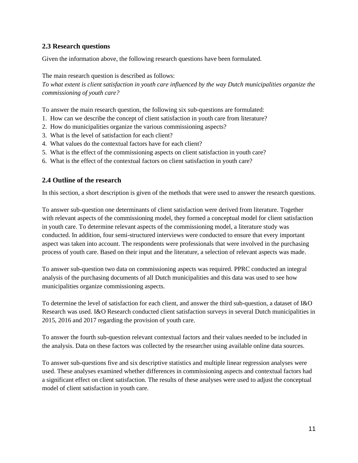## <span id="page-10-0"></span>**2.3 Research questions**

Given the information above, the following research questions have been formulated.

The main research question is described as follows: *To what extent is client satisfaction in youth care influenced by the way Dutch municipalities organize the commissioning of youth care?* 

To answer the main research question, the following six sub-questions are formulated:

- 1. How can we describe the concept of client satisfaction in youth care from literature?
- 2. How do municipalities organize the various commissioning aspects?
- 3. What is the level of satisfaction for each client?
- 4. What values do the contextual factors have for each client?
- 5. What is the effect of the commissioning aspects on client satisfaction in youth care?
- <span id="page-10-1"></span>6. What is the effect of the contextual factors on client satisfaction in youth care?

## **2.4 Outline of the research**

In this section, a short description is given of the methods that were used to answer the research questions.

To answer sub-question one determinants of client satisfaction were derived from literature. Together with relevant aspects of the commissioning model, they formed a conceptual model for client satisfaction in youth care. To determine relevant aspects of the commissioning model, a literature study was conducted. In addition, four semi-structured interviews were conducted to ensure that every important aspect was taken into account. The respondents were professionals that were involved in the purchasing process of youth care. Based on their input and the literature, a selection of relevant aspects was made.

To answer sub-question two data on commissioning aspects was required. PPRC conducted an integral analysis of the purchasing documents of all Dutch municipalities and this data was used to see how municipalities organize commissioning aspects.

To determine the level of satisfaction for each client, and answer the third sub-question, a dataset of I&O Research was used. I&O Research conducted client satisfaction surveys in several Dutch municipalities in 2015, 2016 and 2017 regarding the provision of youth care.

To answer the fourth sub-question relevant contextual factors and their values needed to be included in the analysis. Data on these factors was collected by the researcher using available online data sources.

To answer sub-questions five and six descriptive statistics and multiple linear regression analyses were used. These analyses examined whether differences in commissioning aspects and contextual factors had a significant effect on client satisfaction. The results of these analyses were used to adjust the conceptual model of client satisfaction in youth care.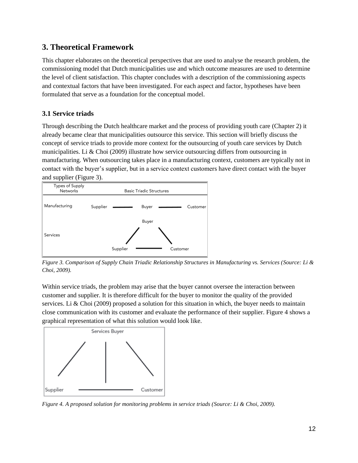## <span id="page-11-0"></span>**3. Theoretical Framework**

This chapter elaborates on the theoretical perspectives that are used to analyse the research problem, the commissioning model that Dutch municipalities use and which outcome measures are used to determine the level of client satisfaction. This chapter concludes with a description of the commissioning aspects and contextual factors that have been investigated. For each aspect and factor, hypotheses have been formulated that serve as a foundation for the conceptual model.

## <span id="page-11-1"></span>**3.1 Service triads**

Through describing the Dutch healthcare market and the process of providing youth care (Chapter 2) it already became clear that municipalities outsource this service. This section will briefly discuss the concept of service triads to provide more context for the outsourcing of youth care services by Dutch municipalities. Li & Choi (2009) illustrate how service outsourcing differs from outsourcing in manufacturing. When outsourcing takes place in a manufacturing context, customers are typically not in contact with the buyer's supplier, but in a service context customers have direct contact with the buyer and supplier (Figure 3).



*Figure 3. Comparison of Supply Chain Triadic Relationship Structures in Manufacturing vs. Services (Source: Li & Choi, 2009).*

Within service triads, the problem may arise that the buyer cannot oversee the interaction between customer and supplier. It is therefore difficult for the buyer to monitor the quality of the provided services. Li & Choi (2009) proposed a solution for this situation in which, the buyer needs to maintain close communication with its customer and evaluate the performance of their supplier. Figure 4 shows a graphical representation of what this solution would look like.



*Figure 4. A proposed solution for monitoring problems in service triads (Source: Li & Choi, 2009).*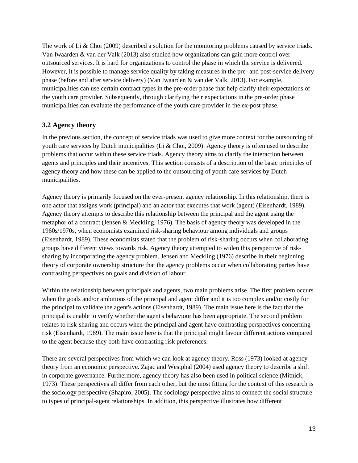The work of Li & Choi (2009) described a solution for the monitoring problems caused by service triads. Van Iwaarden & van der Valk (2013) also studied how organizations can gain more control over outsourced services. It is hard for organizations to control the phase in which the service is delivered. However, it is possible to manage service quality by taking measures in the pre- and post-service delivery phase (before and after service delivery) (Van Iwaarden & van der Valk, 2013). For example, municipalities can use certain contract types in the pre-order phase that help clarify their expectations of the youth care provider. Subsequently, through clarifying their expectations in the pre-order phase municipalities can evaluate the performance of the youth care provider in the ex-post phase.

## <span id="page-12-0"></span>**3.2 Agency theory**

In the previous section, the concept of service triads was used to give more context for the outsourcing of youth care services by Dutch municipalities (Li & Choi, 2009). Agency theory is often used to describe problems that occur within these service triads. Agency theory aims to clarify the interaction between agents and principles and their incentives. This section consists of a description of the basic principles of agency theory and how these can be applied to the outsourcing of youth care services by Dutch municipalities.

Agency theory is primarily focused on the ever-present agency relationship. In this relationship, there is one actor that assigns work (principal) and an actor that executes that work (agent) (Eisenhardt, 1989). Agency theory attempts to describe this relationship between the principal and the agent using the metaphor of a contract (Jensen & Meckling, 1976). The basis of agency theory was developed in the 1960s/1970s, when economists examined risk-sharing behaviour among individuals and groups (Eisenhardt, 1989). These economists stated that the problem of risk-sharing occurs when collaborating groups have different views towards risk. Agency theory attempted to widen this perspective of risksharing by incorporating the agency problem. Jensen and Meckling (1976) describe in their beginning theory of corporate ownership structure that the agency problems occur when collaborating parties have contrasting perspectives on goals and division of labour.

Within the relationship between principals and agents, two main problems arise. The first problem occurs when the goals and/or ambitions of the principal and agent differ and it is too complex and/or costly for the principal to validate the agent's actions (Eisenhardt, 1989). The main issue here is the fact that the principal is unable to verify whether the agent's behaviour has been appropriate. The second problem relates to risk-sharing and occurs when the principal and agent have contrasting perspectives concerning risk (Eisenhardt, 1989). The main issue here is that the principal might favour different actions compared to the agent because they both have contrasting risk preferences.

There are several perspectives from which we can look at agency theory. Ross (1973) looked at agency theory from an economic perspective. Zajac and Westphal (2004) used agency theory to describe a shift in corporate governance. Furthermore, agency theory has also been used in political science (Mitnick, 1973). These perspectives all differ from each other, but the most fitting for the context of this research is the sociology perspective (Shapiro, 2005). The sociology perspective aims to connect the social structure to types of principal-agent relationships. In addition, this perspective illustrates how different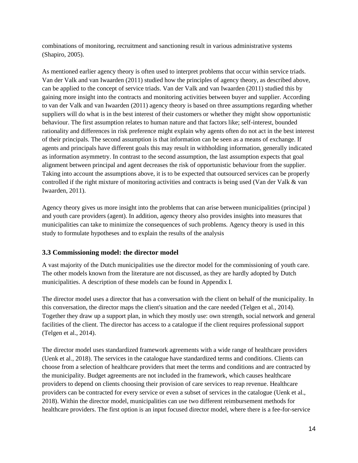combinations of monitoring, recruitment and sanctioning result in various administrative systems (Shapiro, 2005).

As mentioned earlier agency theory is often used to interpret problems that occur within service triads. Van der Valk and van Iwaarden (2011) studied how the principles of agency theory, as described above, can be applied to the concept of service triads. Van der Valk and van Iwaarden (2011) studied this by gaining more insight into the contracts and monitoring activities between buyer and supplier. According to van der Valk and van Iwaarden (2011) agency theory is based on three assumptions regarding whether suppliers will do what is in the best interest of their customers or whether they might show opportunistic behaviour. The first assumption relates to human nature and that factors like; self-interest, bounded rationality and differences in risk preference might explain why agents often do not act in the best interest of their principals. The second assumption is that information can be seen as a means of exchange. If agents and principals have different goals this may result in withholding information, generally indicated as information asymmetry. In contrast to the second assumption, the last assumption expects that goal alignment between principal and agent decreases the risk of opportunistic behaviour from the supplier. Taking into account the assumptions above, it is to be expected that outsourced services can be properly controlled if the right mixture of monitoring activities and contracts is being used (Van der Valk & van Iwaarden, 2011).

Agency theory gives us more insight into the problems that can arise between municipalities (principal ) and youth care providers (agent). In addition, agency theory also provides insights into measures that municipalities can take to minimize the consequences of such problems. Agency theory is used in this study to formulate hypotheses and to explain the results of the analysis

## <span id="page-13-0"></span>**3.3 Commissioning model: the director model**

A vast majority of the Dutch municipalities use the director model for the commissioning of youth care. The other models known from the literature are not discussed, as they are hardly adopted by Dutch municipalities. A description of these models can be found in Appendix I.

The director model uses a director that has a conversation with the client on behalf of the municipality. In this conversation, the director maps the client's situation and the care needed (Telgen et al., 2014). Together they draw up a support plan, in which they mostly use: own strength, social network and general facilities of the client. The director has access to a catalogue if the client requires professional support (Telgen et al., 2014).

The director model uses standardized framework agreements with a wide range of healthcare providers (Uenk et al., 2018). The services in the catalogue have standardized terms and conditions. Clients can choose from a selection of healthcare providers that meet the terms and conditions and are contracted by the municipality. Budget agreements are not included in the framework, which causes healthcare providers to depend on clients choosing their provision of care services to reap revenue. Healthcare providers can be contracted for every service or even a subset of services in the catalogue (Uenk et al., 2018). Within the director model, municipalities can use two different reimbursement methods for healthcare providers. The first option is an input focused director model, where there is a fee-for-service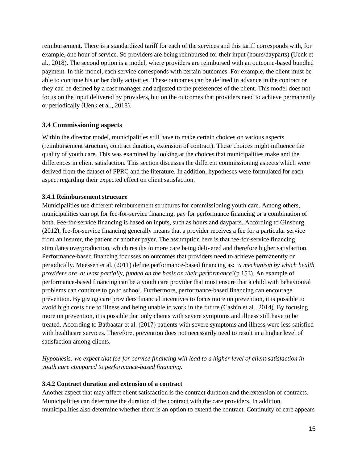reimbursement. There is a standardized tariff for each of the services and this tariff corresponds with, for example, one hour of service. So providers are being reimbursed for their input (hours/dayparts) (Uenk et al., 2018). The second option is a model, where providers are reimbursed with an outcome-based bundled payment. In this model, each service corresponds with certain outcomes. For example, the client must be able to continue his or her daily activities. These outcomes can be defined in advance in the contract or they can be defined by a case manager and adjusted to the preferences of the client. This model does not focus on the input delivered by providers, but on the outcomes that providers need to achieve permanently or periodically (Uenk et al., 2018).

## <span id="page-14-0"></span>**3.4 Commissioning aspects**

Within the director model, municipalities still have to make certain choices on various aspects (reimbursement structure, contract duration, extension of contract). These choices might influence the quality of youth care. This was examined by looking at the choices that municipalities make and the differences in client satisfaction. This section discusses the different commissioning aspects which were derived from the dataset of PPRC and the literature. In addition, hypotheses were formulated for each aspect regarding their expected effect on client satisfaction.

### **3.4.1 Reimbursement structure**

Municipalities use different reimbursement structures for commissioning youth care. Among others, municipalities can opt for fee-for-service financing, pay for performance financing or a combination of both. Fee-for-service financing is based on inputs, such as hours and dayparts. According to Ginsburg (2012), fee-for-service financing generally means that a provider receives a fee for a particular service from an insurer, the patient or another payer. The assumption here is that fee-for-service financing stimulates overproduction, which results in more care being delivered and therefore higher satisfaction. Performance-based financing focusses on outcomes that providers need to achieve permanently or periodically. Meessen et al. (2011) define performance-based financing as: *'a mechanism by which health providers are, at least partially, funded on the basis on their performance*'(p.153). An example of performance-based financing can be a youth care provider that must ensure that a child with behavioural problems can continue to go to school. Furthermore, performance-based financing can encourage prevention. By giving care providers financial incentives to focus more on prevention, it is possible to avoid high costs due to illness and being unable to work in the future (Cashin et al., 2014). By focusing more on prevention, it is possible that only clients with severe symptoms and illness still have to be treated. According to Batbaatar et al. (2017) patients with severe symptoms and illness were less satisfied with healthcare services. Therefore, prevention does not necessarily need to result in a higher level of satisfaction among clients.

*Hypothesis: we expect that fee-for-service financing will lead to a higher level of client satisfaction in youth care compared to performance-based financing.*

## **3.4.2 Contract duration and extension of a contract**

Another aspect that may affect client satisfaction is the contract duration and the extension of contracts. Municipalities can determine the duration of the contract with the care providers. In addition, municipalities also determine whether there is an option to extend the contract. Continuity of care appears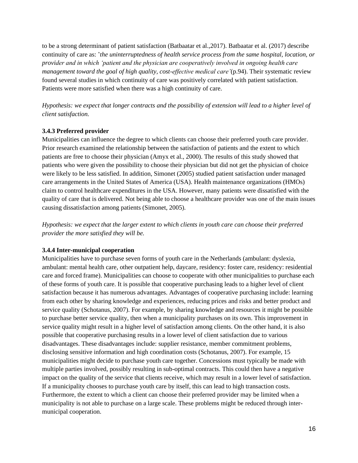to be a strong determinant of patient satisfaction (Batbaatar et al.,2017). Batbaatar et al. (2017) describe continuity of care as: '*the uninterruptedness of health service process from the same hospital, location, or provider and in which 'patient and the physician are cooperatively involved in ongoing health care management toward the goal of high quality, cost-effective medical care'*(p.94). Their systematic review found several studies in which continuity of care was positively correlated with patient satisfaction. Patients were more satisfied when there was a high continuity of care.

*Hypothesis: we expect that longer contracts and the possibility of extension will lead to a higher level of client satisfaction.*

#### **3.4.3 Preferred provider**

Municipalities can influence the degree to which clients can choose their preferred youth care provider. Prior research examined the relationship between the satisfaction of patients and the extent to which patients are free to choose their physician (Amyx et al., 2000). The results of this study showed that patients who were given the possibility to choose their physician but did not get the physician of choice were likely to be less satisfied. In addition, Simonet (2005) studied patient satisfaction under managed care arrangements in the United States of America (USA). Health maintenance organizations (HMOs) claim to control healthcare expenditures in the USA. However, many patients were dissatisfied with the quality of care that is delivered. Not being able to choose a healthcare provider was one of the main issues causing dissatisfaction among patients (Simonet, 2005).

*Hypothesis: we expect that the larger extent to which clients in youth care can choose their preferred provider the more satisfied they will be.* 

#### **3.4.4 Inter-municipal cooperation**

Municipalities have to purchase seven forms of youth care in the Netherlands (ambulant: dyslexia, ambulant: mental health care, other outpatient help, daycare, residency: foster care, residency: residential care and forced frame). Municipalities can choose to cooperate with other municipalities to purchase each of these forms of youth care. It is possible that cooperative purchasing leads to a higher level of client satisfaction because it has numerous advantages. Advantages of cooperative purchasing include: learning from each other by sharing knowledge and experiences, reducing prices and risks and better product and service quality (Schotanus, 2007). For example, by sharing knowledge and resources it might be possible to purchase better service quality, then when a municipality purchases on its own. This improvement in service quality might result in a higher level of satisfaction among clients. On the other hand, it is also possible that cooperative purchasing results in a lower level of client satisfaction due to various disadvantages. These disadvantages include: supplier resistance, member commitment problems, disclosing sensitive information and high coordination costs (Schotanus, 2007). For example, 15 municipalities might decide to purchase youth care together. Concessions must typically be made with multiple parties involved, possibly resulting in sub-optimal contracts. This could then have a negative impact on the quality of the service that clients receive, which may result in a lower level of satisfaction. If a municipality chooses to purchase youth care by itself, this can lead to high transaction costs. Furthermore, the extent to which a client can choose their preferred provider may be limited when a municipality is not able to purchase on a large scale. These problems might be reduced through intermunicipal cooperation.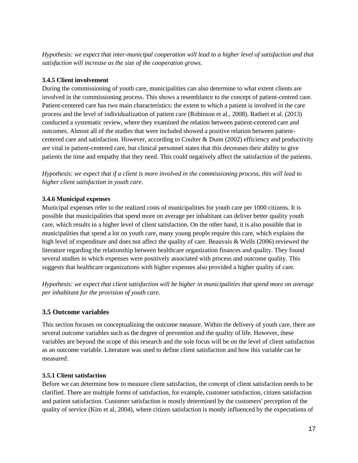*Hypothesis: we expect that inter-municipal cooperation will lead to a higher level of satisfaction and that satisfaction will increase as the size of the cooperation grows.* 

## **3.4.5 Client involvement**

During the commissioning of youth care, municipalities can also determine to what extent clients are involved in the commissioning process. This shows a resemblance to the concept of patient-centred care. Patient-centered care has two main characteristics: the extent to which a patient is involved in the care process and the level of individualization of patient care (Robinson et al., 2008). Rathert et al. (2013) conducted a systematic review, where they examined the relation between patient-centered care and outcomes. Almost all of the studies that were included showed a positive relation between patientcentered care and satisfaction. However, according to Coulter & Dunn (2002) efficiency and productivity are vital in patient-centered care, but clinical personnel states that this decreases their ability to give patients the time and empathy that they need. This could negatively affect the satisfaction of the patients.

*Hypothesis: we expect that if a client is more involved in the commissioning process, this will lead to higher client satisfaction in youth care.*

## **3.4.6 Municipal expenses**

Municipal expenses refer to the realized costs of municipalities for youth care per 1000 citizens. It is possible that municipalities that spend more on average per inhabitant can deliver better quality youth care, which results in a higher level of client satisfaction. On the other hand, it is also possible that in municipalities that spend a lot on youth care, many young people require this care, which explains the high level of expenditure and does not affect the quality of care. Beauvais & Wells (2006) reviewed the literature regarding the relationship between healthcare organization finances and quality. They found several studies in which expenses were positively associated with process and outcome quality. This suggests that healthcare organizations with higher expenses also provided a higher quality of care.

*Hypothesis: we expect that client satisfaction will be higher in municipalities that spend more on average per inhabitant for the provision of youth care.* 

## <span id="page-16-0"></span>**3.5 Outcome variables**

This section focuses on conceptualizing the outcome measure. Within the delivery of youth care, there are several outcome variables such as the degree of prevention and the quality of life. However, these variables are beyond the scope of this research and the sole focus will be on the level of client satisfaction as an outcome variable. Literature was used to define client satisfaction and how this variable can be measured.

## **3.5.1 Client satisfaction**

Before we can determine how to measure client satisfaction, the concept of client satisfaction needs to be clarified. There are multiple forms of satisfaction, for example, customer satisfaction, citizen satisfaction and patient satisfaction. Customer satisfaction is mostly determined by the customers' perception of the quality of service (Kim et al, 2004), where citizen satisfaction is mostly influenced by the expectations of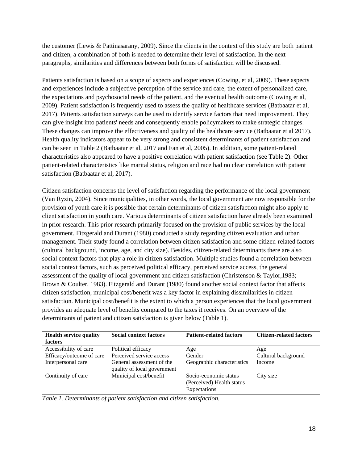the customer (Lewis & Pattinasarany, 2009). Since the clients in the context of this study are both patient and citizen, a combination of both is needed to determine their level of satisfaction. In the next paragraphs, similarities and differences between both forms of satisfaction will be discussed.

Patients satisfaction is based on a scope of aspects and experiences (Cowing, et al, 2009). These aspects and experiences include a subjective perception of the service and care, the extent of personalized care, the expectations and psychosocial needs of the patient, and the eventual health outcome (Cowing et al, 2009). Patient satisfaction is frequently used to assess the quality of healthcare services (Batbaatar et al, 2017). Patients satisfaction surveys can be used to identify service factors that need improvement. They can give insight into patients' needs and consequently enable policymakers to make strategic changes. These changes can improve the effectiveness and quality of the healthcare service (Batbaatar et al 2017). Health quality indicators appear to be very strong and consistent determinants of patient satisfaction and can be seen in Table 2 (Batbaatar et al, 2017 and Fan et al, 2005). In addition, some patient-related characteristics also appeared to have a positive correlation with patient satisfaction (see Table 2). Other patient-related characteristics like marital status, religion and race had no clear correlation with patient satisfaction (Batbaatar et al, 2017).

Citizen satisfaction concerns the level of satisfaction regarding the performance of the local government (Van Ryzin, 2004). Since municipalities, in other words, the local government are now responsible for the provision of youth care it is possible that certain determinants of citizen satisfaction might also apply to client satisfaction in youth care. Various determinants of citizen satisfaction have already been examined in prior research. This prior research primarily focused on the provision of public services by the local government. Fitzgerald and Durant (1980) conducted a study regarding citizen evaluation and urban management. Their study found a correlation between citizen satisfaction and some citizen-related factors (cultural background, income, age, and city size). Besides, citizen-related determinants there are also social context factors that play a role in citizen satisfaction. Multiple studies found a correlation between social context factors, such as perceived political efficacy, perceived service access, the general assessment of the quality of local government and citizen satisfaction (Christenson & Taylor,1983; Brown & Coulter, 1983). Fitzgerald and Durant (1980) found another social context factor that affects citizen satisfaction, municipal cost/benefit was a key factor in explaining dissimilarities in citizen satisfaction. Municipal cost/benefit is the extent to which a person experiences that the local government provides an adequate level of benefits compared to the taxes it receives. On an overview of the determinants of patient and citizen satisfaction is given below (Table 1).

| <b>Health service quality</b> | <b>Social context factors</b>                            | <b>Patient-related factors</b>                                     | <b>Citizen-related factors</b> |
|-------------------------------|----------------------------------------------------------|--------------------------------------------------------------------|--------------------------------|
| factors                       |                                                          |                                                                    |                                |
| Accessibility of care         | Political efficacy                                       | Age                                                                | Age                            |
| Efficacy/outcome of care      | Perceived service access                                 | Gender                                                             | Cultural background            |
| Interpersonal care            | General assessment of the<br>quality of local government | Geographic characteristics                                         | Income                         |
| Continuity of care            | Municipal cost/benefit                                   | Socio-economic status<br>(Perceived) Health status<br>Expectations | City size                      |

*Table 1. Determinants of patient satisfaction and citizen satisfaction.*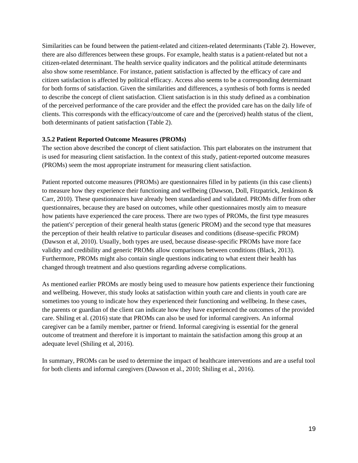Similarities can be found between the patient-related and citizen-related determinants (Table 2). However, there are also differences between these groups. For example, health status is a patient-related but not a citizen-related determinant. The health service quality indicators and the political attitude determinants also show some resemblance. For instance, patient satisfaction is affected by the efficacy of care and citizen satisfaction is affected by political efficacy. Access also seems to be a corresponding determinant for both forms of satisfaction. Given the similarities and differences, a synthesis of both forms is needed to describe the concept of client satisfaction. Client satisfaction is in this study defined as a combination of the perceived performance of the care provider and the effect the provided care has on the daily life of clients. This corresponds with the efficacy/outcome of care and the (perceived) health status of the client, both determinants of patient satisfaction (Table 2).

#### **3.5.2 Patient Reported Outcome Measures (PROMs)**

The section above described the concept of client satisfaction. This part elaborates on the instrument that is used for measuring client satisfaction. In the context of this study, patient-reported outcome measures (PROMs) seem the most appropriate instrument for measuring client satisfaction.

Patient reported outcome measures (PROMs) are questionnaires filled in by patients (in this case clients) to measure how they experience their functioning and wellbeing (Dawson, Doll, Fitzpatrick, Jenkinson & Carr, 2010). These questionnaires have already been standardised and validated. PROMs differ from other questionnaires, because they are based on outcomes, while other questionnaires mostly aim to measure how patients have experienced the care process. There are two types of PROMs, the first type measures the patient's' perception of their general health status (generic PROM) and the second type that measures the perception of their health relative to particular diseases and conditions (disease-specific PROM) (Dawson et al, 2010). Usually, both types are used, because disease-specific PROMs have more face validity and credibility and generic PROMs allow comparisons between conditions (Black, 2013). Furthermore, PROMs might also contain single questions indicating to what extent their health has changed through treatment and also questions regarding adverse complications.

As mentioned earlier PROMs are mostly being used to measure how patients experience their functioning and wellbeing. However, this study looks at satisfaction within youth care and clients in youth care are sometimes too young to indicate how they experienced their functioning and wellbeing. In these cases, the parents or guardian of the client can indicate how they have experienced the outcomes of the provided care. Shiling et al. (2016) state that PROMs can also be used for informal caregivers. An informal caregiver can be a family member, partner or friend. Informal caregiving is essential for the general outcome of treatment and therefore it is important to maintain the satisfaction among this group at an adequate level (Shiling et al, 2016).

In summary, PROMs can be used to determine the impact of healthcare interventions and are a useful tool for both clients and informal caregivers (Dawson et al., 2010; Shiling et al., 2016).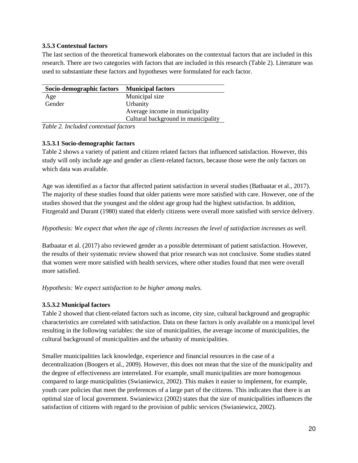### **3.5.3 Contextual factors**

The last section of the theoretical framework elaborates on the contextual factors that are included in this research. There are two categories with factors that are included in this research (Table 2). Literature was used to substantiate these factors and hypotheses were formulated for each factor.

| Socio-demographic factors Municipal factors |                                     |
|---------------------------------------------|-------------------------------------|
| Age                                         | Municipal size                      |
| Gender                                      | Urbanity                            |
|                                             | Average income in municipality      |
|                                             | Cultural background in municipality |

*Table 2. Included contextual factors* 

## **3.5.3.1 Socio-demographic factors**

Table 2 shows a variety of patient and citizen related factors that influenced satisfaction. However, this study will only include age and gender as client-related factors, because those were the only factors on which data was available.

Age was identified as a factor that affected patient satisfaction in several studies (Batbaatar et al., 2017). The majority of these studies found that older patients were more satisfied with care. However, one of the studies showed that the youngest and the oldest age group had the highest satisfaction. In addition, Fitzgerald and Durant (1980) stated that elderly citizens were overall more satisfied with service delivery.

## *Hypothesis: We expect that when the age of clients increases the level of satisfaction increases as well.*

Batbaatar et al. (2017) also reviewed gender as a possible determinant of patient satisfaction. However, the results of their systematic review showed that prior research was not conclusive. Some studies stated that women were more satisfied with health services, where other studies found that men were overall more satisfied.

## *Hypothesis: We expect satisfaction to be higher among males.*

## **3.5.3.2 Municipal factors**

Table 2 showed that client-related factors such as income, city size, cultural background and geographic characteristics are correlated with satisfaction. Data on these factors is only available on a municipal level resulting in the following variables: the size of municipalities, the average income of municipalities, the cultural background of municipalities and the urbanity of municipalities.

Smaller municipalities lack knowledge, experience and financial resources in the case of a decentralization (Boogers et al., 2009). However, this does not mean that the size of the municipality and the degree of effectiveness are interrelated. For example, small municipalities are more homogenous compared to large municipalities (Swianiewicz, 2002). This makes it easier to implement, for example, youth care policies that meet the preferences of a large part of the citizens. This indicates that there is an optimal size of local government. Swianiewicz (2002) states that the size of municipalities influences the satisfaction of citizens with regard to the provision of public services (Swianiewicz, 2002).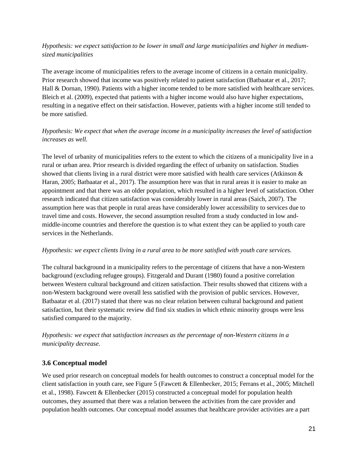## *Hypothesis: we expect satisfaction to be lower in small and large municipalities and higher in mediumsized municipalities*

The average income of municipalities refers to the average income of citizens in a certain municipality. Prior research showed that income was positively related to patient satisfaction (Batbaatar et al., 2017; Hall & Dornan, 1990). Patients with a higher income tended to be more satisfied with healthcare services. Bleich et al. (2009), expected that patients with a higher income would also have higher expectations, resulting in a negative effect on their satisfaction. However, patients with a higher income still tended to be more satisfied.

## *Hypothesis: We expect that when the average income in a municipality increases the level of satisfaction increases as well.*

The level of urbanity of municipalities refers to the extent to which the citizens of a municipality live in a rural or urban area. Prior research is divided regarding the effect of urbanity on satisfaction. Studies showed that clients living in a rural district were more satisfied with health care services (Atkinson & Haran, 2005; Batbaatar et al., 2017). The assumption here was that in rural areas it is easier to make an appointment and that there was an older population, which resulted in a higher level of satisfaction. Other research indicated that citizen satisfaction was considerably lower in rural areas (Saich, 2007). The assumption here was that people in rural areas have considerably lower accessibility to services due to travel time and costs. However, the second assumption resulted from a study conducted in low andmiddle-income countries and therefore the question is to what extent they can be applied to youth care services in the Netherlands.

#### *Hypothesis: we expect clients living in a rural area to be more satisfied with youth care services.*

The cultural background in a municipality refers to the percentage of citizens that have a non-Western background (excluding refugee groups). Fitzgerald and Durant (1980) found a positive correlation between Western cultural background and citizen satisfaction. Their results showed that citizens with a non-Western background were overall less satisfied with the provision of public services. However, Batbaatar et al. (2017) stated that there was no clear relation between cultural background and patient satisfaction, but their systematic review did find six studies in which ethnic minority groups were less satisfied compared to the majority.

*Hypothesis: we expect that satisfaction increases as the percentage of non-Western citizens in a municipality decrease.*

## <span id="page-20-0"></span>**3.6 Conceptual model**

We used prior research on conceptual models for health outcomes to construct a conceptual model for the client satisfaction in youth care, see Figure 5 (Fawcett & Ellenbecker, 2015; Ferrans et al., 2005; Mitchell et al., 1998). Fawcett & Ellenbecker (2015) constructed a conceptual model for population health outcomes, they assumed that there was a relation between the activities from the care provider and population health outcomes. Our conceptual model assumes that healthcare provider activities are a part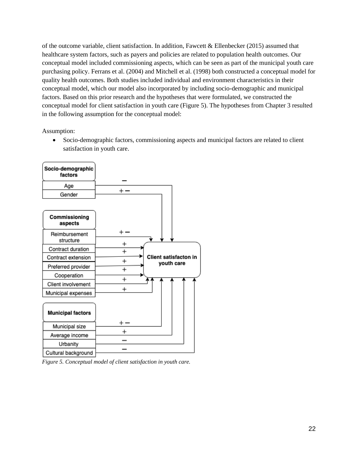of the outcome variable, client satisfaction. In addition, Fawcett & Ellenbecker (2015) assumed that healthcare system factors, such as payers and policies are related to population health outcomes. Our conceptual model included commissioning aspects, which can be seen as part of the municipal youth care purchasing policy. Ferrans et al. (2004) and Mitchell et al. (1998) both constructed a conceptual model for quality health outcomes. Both studies included individual and environment characteristics in their conceptual model, which our model also incorporated by including socio-demographic and municipal factors. Based on this prior research and the hypotheses that were formulated, we constructed the conceptual model for client satisfaction in youth care (Figure 5). The hypotheses from Chapter 3 resulted in the following assumption for the conceptual model:

Assumption:

• Socio-demographic factors, commissioning aspects and municipal factors are related to client satisfaction in youth care.



*Figure 5. Conceptual model of client satisfaction in youth care.*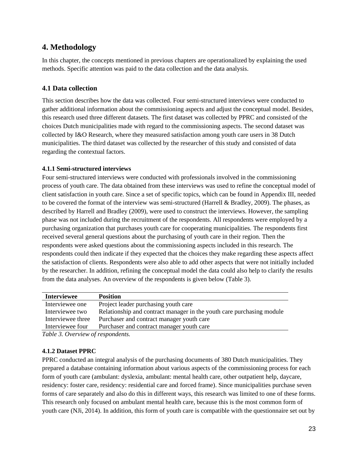## <span id="page-22-0"></span>**4. Methodology**

In this chapter, the concepts mentioned in previous chapters are operationalized by explaining the used methods. Specific attention was paid to the data collection and the data analysis.

## <span id="page-22-1"></span>**4.1 Data collection**

This section describes how the data was collected. Four semi-structured interviews were conducted to gather additional information about the commissioning aspects and adjust the conceptual model. Besides, this research used three different datasets. The first dataset was collected by PPRC and consisted of the choices Dutch municipalities made with regard to the commissioning aspects. The second dataset was collected by I&O Research, where they measured satisfaction among youth care users in 38 Dutch municipalities. The third dataset was collected by the researcher of this study and consisted of data regarding the contextual factors.

## **4.1.1 Semi-structured interviews**

Four semi-structured interviews were conducted with professionals involved in the commissioning process of youth care. The data obtained from these interviews was used to refine the conceptual model of client satisfaction in youth care. Since a set of specific topics, which can be found in Appendix III, needed to be covered the format of the interview was semi-structured (Harrell & Bradley, 2009). The phases, as described by Harrell and Bradley (2009), were used to construct the interviews. However, the sampling phase was not included during the recruitment of the respondents. All respondents were employed by a purchasing organization that purchases youth care for cooperating municipalities. The respondents first received several general questions about the purchasing of youth care in their region. Then the respondents were asked questions about the commissioning aspects included in this research. The respondents could then indicate if they expected that the choices they make regarding these aspects affect the satisfaction of clients. Respondents were also able to add other aspects that were not initially included by the researcher. In addition, refining the conceptual model the data could also help to clarify the results from the data analyses. An overview of the respondents is given below (Table 3).

| <b>Interviewee</b> | <b>Position</b>                                                       |
|--------------------|-----------------------------------------------------------------------|
| Interviewee one    | Project leader purchasing youth care                                  |
| Interviewee two    | Relationship and contract manager in the youth care purchasing module |
| Interviewee three  | Purchaser and contract manager youth care                             |
| Interviewee four   | Purchaser and contract manager youth care                             |
|                    |                                                                       |

*Table 3. Overview of respondents.* 

## **4.1.2 Dataset PPRC**

PPRC conducted an integral analysis of the purchasing documents of 380 Dutch municipalities. They prepared a database containing information about various aspects of the commissioning process for each form of youth care (ambulant: dyslexia, ambulant: mental health care, other outpatient help, daycare, residency: foster care, residency: residential care and forced frame). Since municipalities purchase seven forms of care separately and also do this in different ways, this research was limited to one of these forms. This research only focused on ambulant mental health care, because this is the most common form of youth care (NJi, 2014). In addition, this form of youth care is compatible with the questionnaire set out by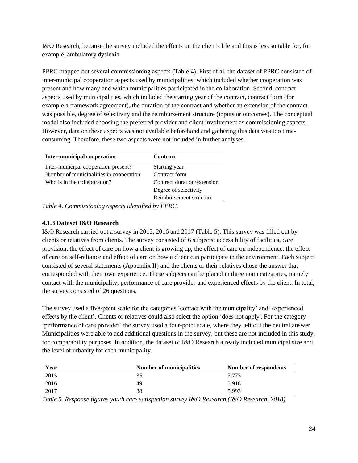I&O Research, because the survey included the effects on the client's life and this is less suitable for, for example, ambulatory dyslexia.

PPRC mapped out several commissioning aspects (Table 4). First of all the dataset of PPRC consisted of inter-municipal cooperation aspects used by municipalities, which included whether cooperation was present and how many and which municipalities participated in the collaboration. Second, contract aspects used by municipalities, which included the starting year of the contract, contract form (for example a framework agreement), the duration of the contract and whether an extension of the contract was possible, degree of selectivity and the reimbursement structure (inputs or outcomes). The conceptual model also included choosing the preferred provider and client involvement as commissioning aspects. However, data on these aspects was not available beforehand and gathering this data was too timeconsuming. Therefore, these two aspects were not included in further analyses.

| <b>Inter-municipal cooperation</b>      | <b>Contract</b>             |
|-----------------------------------------|-----------------------------|
| Inter-municipal cooperation present?    | Starting year               |
| Number of municipalities in cooperation | Contract form               |
| Who is in the collaboration?            | Contract duration/extension |
|                                         | Degree of selectivity       |
|                                         | Reimbursement structure     |

*Table 4. Commissioning aspects identified by PPRC.*

## **4.1.3 Dataset I&O Research**

I&O Research carried out a survey in 2015, 2016 and 2017 (Table 5). This survey was filled out by clients or relatives from clients. The survey consisted of 6 subjects: accessibility of facilities, care provision, the effect of care on how a client is growing up, the effect of care on independence, the effect of care on self-reliance and effect of care on how a client can participate in the environment. Each subject consisted of several statements (Appendix II) and the clients or their relatives chose the answer that corresponded with their own experience. These subjects can be placed in three main categories, namely contact with the municipality, performance of care provider and experienced effects by the client. In total, the survey consisted of 26 questions.

The survey used a five-point scale for the categories 'contact with the municipality' and 'experienced effects by the client'. Clients or relatives could also select the option 'does not apply'. For the category 'performance of care provider' the survey used a four-point scale, where they left out the neutral answer. Municipalities were able to add additional questions in the survey, but these are not included in this study, for comparability purposes. In addition, the dataset of I&O Research already included municipal size and the level of urbanity for each municipality.

| Year | <b>Number of municipalities</b> | Number of respondents |
|------|---------------------------------|-----------------------|
| 2015 |                                 | 3.773                 |
| 2016 | 49                              | 5.918                 |
| 2017 | 38                              | 5.993                 |

*Table 5. Response figures youth care satisfaction survey I&O Research (I&O Research, 2018).*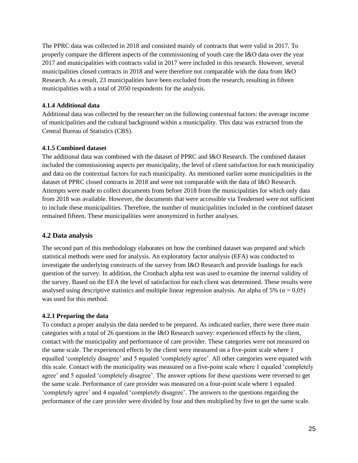The PPRC data was collected in 2018 and consisted mainly of contracts that were valid in 2017. To properly compare the different aspects of the commissioning of youth care the I&O data over the year 2017 and municipalities with contracts valid in 2017 were included in this research. However, several municipalities closed contracts in 2018 and were therefore not comparable with the data from I&O Research. As a result, 23 municipalities have been excluded from the research, resulting in fifteen municipalities with a total of 2050 respondents for the analysis.

### **4.1.4 Additional data**

Additional data was collected by the researcher on the following contextual factors: the average income of municipalities and the cultural background within a municipality. This data was extracted from the Central Bureau of Statistics (CBS).

#### **4.1.5 Combined dataset**

The additional data was combined with the dataset of PPRC and I&O Research. The combined dataset included the commissioning aspects per municipality, the level of client satisfaction for each municipality and data on the contextual factors for each municipality. As mentioned earlier some municipalities in the dataset of PPRC closed contracts in 2018 and were not comparable with the data of I&O Research. Attempts were made to collect documents from before 2018 from the municipalities for which only data from 2018 was available. However, the documents that were accessible via Tenderned were not sufficient to include these municipalities. Therefore, the number of municipalities included in the combined dataset remained fifteen. These municipalities were anonymized in further analyses.

## <span id="page-24-0"></span>**4.2 Data analysis**

The second part of this methodology elaborates on how the combined dataset was prepared and which statistical methods were used for analysis. An exploratory factor analysis (EFA) was conducted to investigate the underlying constructs of the survey from I&O Research and provide loadings for each question of the survey. In addition, the Cronbach alpha test was used to examine the internal validity of the survey. Based on the EFA the level of satisfaction for each client was determined. These results were analysed using descriptive statistics and multiple linear regression analysis. An alpha of 5% ( $\alpha$  = 0,05) was used for this method.

#### **4.2.1 Preparing the data**

To conduct a proper analysis the data needed to be prepared. As indicated earlier, there were three main categories with a total of 26 questions in the I&O Research survey: experienced effects by the client, contact with the municipality and performance of care provider. These categories were not measured on the same scale. The experienced effects by the client were measured on a five-point scale where 1 equalled 'completely disagree' and 5 equaled 'completely agree'. All other categories were equated with this scale. Contact with the municipality was measured on a five-point scale where 1 equaled 'completely agree' and 5 equaled 'completely disagree'. The answer options for these questions were reversed to get the same scale. Performance of care provider was measured on a four-point scale where 1 equaled 'completely agree' and 4 equaled 'completely disagree'. The answers to the questions regarding the performance of the care provider were divided by four and then multiplied by five to get the same scale.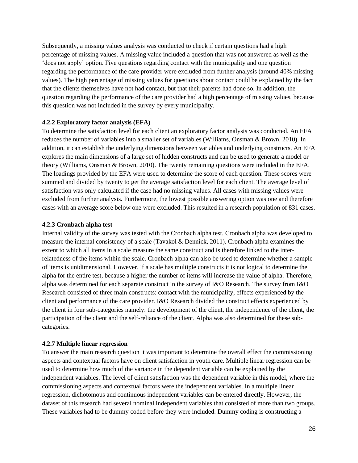Subsequently, a missing values analysis was conducted to check if certain questions had a high percentage of missing values. A missing value included a question that was not answered as well as the 'does not apply' option. Five questions regarding contact with the municipality and one question regarding the performance of the care provider were excluded from further analysis (around 40% missing values). The high percentage of missing values for questions about contact could be explained by the fact that the clients themselves have not had contact, but that their parents had done so. In addition, the question regarding the performance of the care provider had a high percentage of missing values, because this question was not included in the survey by every municipality.

#### **4.2.2 Exploratory factor analysis (EFA)**

To determine the satisfaction level for each client an exploratory factor analysis was conducted. An EFA reduces the number of variables into a smaller set of variables (Williams, Onsman & Brown, 2010). In addition, it can establish the underlying dimensions between variables and underlying constructs. An EFA explores the main dimensions of a large set of hidden constructs and can be used to generate a model or theory (Williams, Onsman & Brown, 2010). The twenty remaining questions were included in the EFA. The loadings provided by the EFA were used to determine the score of each question. These scores were summed and divided by twenty to get the average satisfaction level for each client. The average level of satisfaction was only calculated if the case had no missing values. All cases with missing values were excluded from further analysis. Furthermore, the lowest possible answering option was one and therefore cases with an average score below one were excluded. This resulted in a research population of 831 cases.

#### **4.2.3 Cronbach alpha test**

Internal validity of the survey was tested with the Cronbach alpha test. Cronbach alpha was developed to measure the internal consistency of a scale (Tavakol & Dennick, 2011). Cronbach alpha examines the extent to which all items in a scale measure the same construct and is therefore linked to the interrelatedness of the items within the scale. Cronbach alpha can also be used to determine whether a sample of items is unidimensional. However, if a scale has multiple constructs it is not logical to determine the alpha for the entire test, because a higher the number of items will increase the value of alpha. Therefore, alpha was determined for each separate construct in the survey of I&O Research. The survey from I&O Research consisted of three main constructs: contact with the municipality, effects experienced by the client and performance of the care provider. I&O Research divided the construct effects experienced by the client in four sub-categories namely: the development of the client, the independence of the client, the participation of the client and the self-reliance of the client. Alpha was also determined for these subcategories.

#### **4.2.7 Multiple linear regression**

To answer the main research question it was important to determine the overall effect the commissioning aspects and contextual factors have on client satisfaction in youth care. Multiple linear regression can be used to determine how much of the variance in the dependent variable can be explained by the independent variables. The level of client satisfaction was the dependent variable in this model, where the commissioning aspects and contextual factors were the independent variables. In a multiple linear regression, dichotomous and continuous independent variables can be entered directly. However, the dataset of this research had several nominal independent variables that consisted of more than two groups. These variables had to be dummy coded before they were included. Dummy coding is constructing a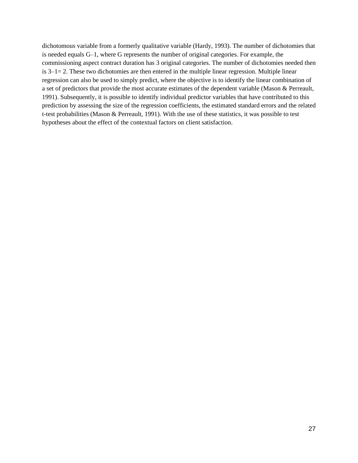dichotomous variable from a formerly qualitative variable (Hardy, 1993). The number of dichotomies that is needed equals G–1, where G represents the number of original categories. For example, the commissioning aspect contract duration has 3 original categories. The number of dichotomies needed then is 3–1= 2. These two dichotomies are then entered in the multiple linear regression. Multiple linear regression can also be used to simply predict, where the objective is to identify the linear combination of a set of predictors that provide the most accurate estimates of the dependent variable (Mason & Perreault, 1991). Subsequently, it is possible to identify individual predictor variables that have contributed to this prediction by assessing the size of the regression coefficients, the estimated standard errors and the related t-test probabilities (Mason & Perreault, 1991). With the use of these statistics, it was possible to test hypotheses about the effect of the contextual factors on client satisfaction.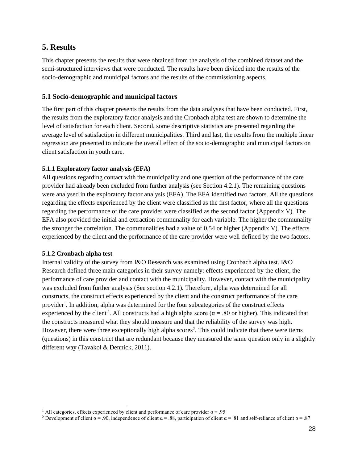## <span id="page-27-0"></span>**5. Results**

This chapter presents the results that were obtained from the analysis of the combined dataset and the semi-structured interviews that were conducted. The results have been divided into the results of the socio-demographic and municipal factors and the results of the commissioning aspects.

## <span id="page-27-1"></span>**5.1 Socio-demographic and municipal factors**

The first part of this chapter presents the results from the data analyses that have been conducted. First, the results from the exploratory factor analysis and the Cronbach alpha test are shown to determine the level of satisfaction for each client. Second, some descriptive statistics are presented regarding the average level of satisfaction in different municipalities. Third and last, the results from the multiple linear regression are presented to indicate the overall effect of the socio-demographic and municipal factors on client satisfaction in youth care.

## **5.1.1 Exploratory factor analysis (EFA)**

All questions regarding contact with the municipality and one question of the performance of the care provider had already been excluded from further analysis (see Section 4.2.1). The remaining questions were analysed in the exploratory factor analysis (EFA). The EFA identified two factors. All the questions regarding the effects experienced by the client were classified as the first factor, where all the questions regarding the performance of the care provider were classified as the second factor (Appendix V). The EFA also provided the initial and extraction communality for each variable. The higher the communality the stronger the correlation. The communalities had a value of 0,54 or higher (Appendix V). The effects experienced by the client and the performance of the care provider were well defined by the two factors.

#### **5.1.2 Cronbach alpha test**

Internal validity of the survey from I&O Research was examined using Cronbach alpha test. I&O Research defined three main categories in their survey namely: effects experienced by the client, the performance of care provider and contact with the municipality. However, contact with the municipality was excluded from further analysis (See section 4.2.1). Therefore, alpha was determined for all constructs, the construct effects experienced by the client and the construct performance of the care provider<sup>1</sup>. In addition, alpha was determined for the four subcategories of the construct effects experienced by the client<sup>2</sup>. All constructs had a high alpha score ( $\alpha$  = .80 or higher). This indicated that the constructs measured what they should measure and that the reliability of the survey was high. However, there were three exceptionally high alpha scores<sup>2</sup>. This could indicate that there were items (questions) in this construct that are redundant because they measured the same question only in a slightly different way (Tavakol & Dennick, 2011).

<sup>&</sup>lt;sup>1</sup> All categories, effects experienced by client and performance of care provider  $\alpha$  = .95

<sup>&</sup>lt;sup>2</sup> Development of client  $\alpha$  = .90, independence of client  $\alpha$  = .88, participation of client  $\alpha$  = .81 and self-reliance of client  $\alpha$  = .87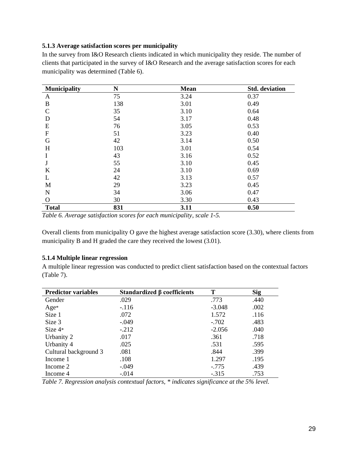#### **5.1.3 Average satisfaction scores per municipality**

In the survey from I&O Research clients indicated in which municipality they reside. The number of clients that participated in the survey of I&O Research and the average satisfaction scores for each municipality was determined (Table 6).

| <b>Municipality</b> | N   | <b>Mean</b> | <b>Std.</b> deviation |
|---------------------|-----|-------------|-----------------------|
| $\mathbf{A}$        | 75  | 3.24        | 0.37                  |
| B                   | 138 | 3.01        | 0.49                  |
| $\mathbf C$         | 35  | 3.10        | 0.64                  |
| D                   | 54  | 3.17        | 0.48                  |
| E                   | 76  | 3.05        | 0.53                  |
| $\mathbf F$         | 51  | 3.23        | 0.40                  |
| G                   | 42  | 3.14        | 0.50                  |
| H                   | 103 | 3.01        | 0.54                  |
| I                   | 43  | 3.16        | 0.52                  |
| J                   | 55  | 3.10        | 0.45                  |
| K                   | 24  | 3.10        | 0.69                  |
| L                   | 42  | 3.13        | 0.57                  |
| M                   | 29  | 3.23        | 0.45                  |
| N                   | 34  | 3.06        | 0.47                  |
| O                   | 30  | 3.30        | 0.43                  |
| <b>Total</b>        | 831 | 3.11        | 0.50                  |

*Table 6. Average satisfaction scores for each municipality, scale 1-5.*

Overall clients from municipality O gave the highest average satisfaction score (3.30), where clients from municipality B and H graded the care they received the lowest (3.01).

#### **5.1.4 Multiple linear regression**

A multiple linear regression was conducted to predict client satisfaction based on the contextual factors (Table 7).

| <b>Predictor variables</b> | Standardized $\beta$ coefficients | Т        | <b>Sig</b> |
|----------------------------|-----------------------------------|----------|------------|
| Gender                     | .029                              | .773     | .440       |
| Age*                       | $-116$                            | $-3.048$ | .002       |
| Size 1                     | .072                              | 1.572    | .116       |
| Size 3                     | $-.049$                           | $-.702$  | .483       |
| Size $4*$                  | $-.212$                           | $-2.056$ | .040       |
| Urbanity 2                 | .017                              | .361     | .718       |
| Urbanity 4                 | .025                              | .531     | .595       |
| Cultural background 3      | .081                              | .844     | .399       |
| Income 1                   | .108                              | 1.297    | .195       |
| Income 2                   | $-.049$                           | $-.775$  | .439       |
| Income 4                   | $-.014$                           | $-.315$  | .753       |

*Table 7. Regression analysis contextual factors, \* indicates significance at the 5% level.*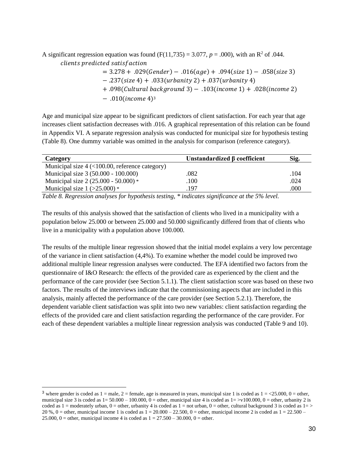A significant regression equation was found  $(F(11,735) = 3.077, p = .000)$ , with an R<sup>2</sup> of .044. clients predicted satisfaction

> $= 3.278 + .029(Gender) - .016(age) + .094(size 1) - .058(size 3)$  $-$ .237(size 4) + .033(urbanity 2) + .037(urbanity 4) + .098(Cultural background 3) - .103(income 1) + .028(income 2)  $- .010$ (*income* 4)<sup>3</sup>

Age and municipal size appear to be significant predictors of client satisfaction. For each year that age increases client satisfaction decreases with .016. A graphical representation of this relation can be found in Appendix VI. A separate regression analysis was conducted for municipal size for hypothesis testing (Table 8). One dummy variable was omitted in the analysis for comparison (reference category).

| Category                                               | Unstandardized $\beta$ coefficient | Sig. |
|--------------------------------------------------------|------------------------------------|------|
| Municipal size $4 \times 100.00$ , reference category) |                                    |      |
| Municipal size 3 (50.000 - 100.000)                    | .082                               | .104 |
| Municipal size $2(25.000 - 50.000)$ *                  | .100                               | .024 |
| Municipal size $1$ ( $>25.000$ ) *                     | .197                               | .000 |

*Table 8. Regression analyses for hypothesis testing, \* indicates significance at the 5% level.* 

The results of this analysis showed that the satisfaction of clients who lived in a municipality with a population below 25.000 or between 25.000 and 50.000 significantly differed from that of clients who live in a municipality with a population above 100.000.

The results of the multiple linear regression showed that the initial model explains a very low percentage of the variance in client satisfaction (4,4%). To examine whether the model could be improved two additional multiple linear regression analyses were conducted. The EFA identified two factors from the questionnaire of I&O Research: the effects of the provided care as experienced by the client and the performance of the care provider (see Section 5.1.1). The client satisfaction score was based on these two factors. The results of the interviews indicate that the commissioning aspects that are included in this analysis, mainly affected the performance of the care provider (see Section 5.2.1). Therefore, the dependent variable client satisfaction was split into two new variables: client satisfaction regarding the effects of the provided care and client satisfaction regarding the performance of the care provider. For each of these dependent variables a multiple linear regression analysis was conducted (Table 9 and 10).

<sup>&</sup>lt;sup>3</sup> where gender is coded as  $1 =$  male,  $2 =$  female, age is measured in years, municipal size 1 is coded as  $1 =$  <25.000, 0 = other, municipal size 3 is coded as  $1 = 50.000 - 100.000$ ,  $0 =$  other, municipal size 4 is coded as  $1 = y/100.000$ ,  $0 =$  other, urbanity 2 is coded as  $1 =$  moderately urban,  $0 =$  other, urbanity 4 is coded as  $1 =$  not urban,  $0 =$  other, cultural background 3 is coded as  $1 =$  > 20 %, 0 = other, municipal income 1 is coded as  $1 = 20.000 - 22.500$ , 0 = other, municipal income 2 is coded as  $1 = 22.500 - 1.500$ 25.000, 0 = other, municipal income 4 is coded as  $1 = 27.500 - 30.000$ , 0 = other.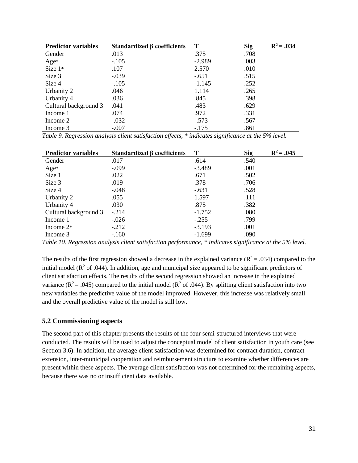| <b>Predictor variables</b> | Standardized $\beta$ coefficients | T        | <b>Sig</b> | $R^2 = .034$ |
|----------------------------|-----------------------------------|----------|------------|--------------|
| Gender                     | .013                              | .375     | .708       |              |
| Age*                       | $-.105$                           | $-2.989$ | .003       |              |
| Size $1*$                  | .107                              | 2.570    | .010       |              |
| Size 3                     | $-.039$                           | $-.651$  | .515       |              |
| Size 4                     | $-.105$                           | $-1.145$ | .252       |              |
| Urbanity 2                 | .046                              | 1.114    | .265       |              |
| Urbanity 4                 | .036                              | .845     | .398       |              |
| Cultural background 3      | .041                              | .483     | .629       |              |
| Income 1                   | .074                              | .972     | .331       |              |
| Income 2                   | $-.032$                           | $-.573$  | .567       |              |
| Income 3                   | $-.007$                           | $-.175$  | .861       |              |

*Table 9. Regression analysis client satisfaction effects, \* indicates significance at the 5% level.* 

| <b>Predictor variables</b> | Standardized $\beta$ coefficients | T        | <b>Sig</b> | $R^2 = .045$ |
|----------------------------|-----------------------------------|----------|------------|--------------|
| Gender                     | .017                              | .614     | .540       |              |
| Age*                       | $-.099$                           | $-3.489$ | .001       |              |
| Size 1                     | .022                              | .671     | .502       |              |
| Size 3                     | .019                              | .378     | .706       |              |
| Size 4                     | $-.048$                           | $-.631$  | .528       |              |
| Urbanity 2                 | .055                              | 1.597    | .111       |              |
| Urbanity 4                 | .030                              | .875     | .382       |              |
| Cultural background 3      | $-.214$                           | $-1.752$ | .080       |              |
| Income 1                   | $-.026$                           | $-.255$  | .799       |              |
| Income $2*$                | $-.212$                           | $-3.193$ | .001       |              |
| Income 3                   | $-.160$                           | $-1.699$ | .090       |              |

*Table 10. Regression analysis client satisfaction performance, \* indicates significance at the 5% level.* 

The results of the first regression showed a decrease in the explained variance ( $\mathbb{R}^2 = .034$ ) compared to the initial model ( $\mathbb{R}^2$  of .044). In addition, age and municipal size appeared to be significant predictors of client satisfaction effects. The results of the second regression showed an increase in the explained variance ( $\mathbb{R}^2$  = .045) compared to the initial model ( $\mathbb{R}^2$  of .044). By splitting client satisfaction into two new variables the predictive value of the model improved. However, this increase was relatively small and the overall predictive value of the model is still low.

## <span id="page-30-0"></span>**5.2 Commissioning aspects**

The second part of this chapter presents the results of the four semi-structured interviews that were conducted. The results will be used to adjust the conceptual model of client satisfaction in youth care (see Section 3.6). In addition, the average client satisfaction was determined for contract duration, contract extension, inter-municipal cooperation and reimbursement structure to examine whether differences are present within these aspects. The average client satisfaction was not determined for the remaining aspects, because there was no or insufficient data available.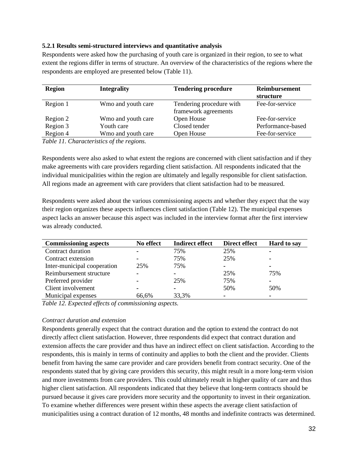#### **5.2.1 Results semi-structured interviews and quantitative analysis**

Respondents were asked how the purchasing of youth care is organized in their region, to see to what extent the regions differ in terms of structure. An overview of the characteristics of the regions where the respondents are employed are presented below (Table 11).

| <b>Region</b> | <b>Integrality</b> | <b>Tendering procedure</b>                       | Reimbursement<br>structure |
|---------------|--------------------|--------------------------------------------------|----------------------------|
| Region 1      | Wmo and youth care | Tendering procedure with<br>framework agreements | Fee-for-service            |
| Region 2      | Wmo and youth care | Open House                                       | Fee-for-service            |
| Region 3      | Youth care         | Closed tender                                    | Performance-based          |
| Region 4      | Wmo and youth care | Open House                                       | Fee-for-service            |

*Table 11. Characteristics of the regions.*

Respondents were also asked to what extent the regions are concerned with client satisfaction and if they make agreements with care providers regarding client satisfaction. All respondents indicated that the individual municipalities within the region are ultimately and legally responsible for client satisfaction. All regions made an agreement with care providers that client satisfaction had to be measured.

Respondents were asked about the various commissioning aspects and whether they expect that the way their region organizes these aspects influences client satisfaction (Table 12). The municipal expenses aspect lacks an answer because this aspect was included in the interview format after the first interview was already conducted.

| <b>Commissioning aspects</b> | No effect | <b>Indirect effect</b> | Direct effect | <b>Hard to say</b> |
|------------------------------|-----------|------------------------|---------------|--------------------|
| Contract duration            |           | 75%                    | 25%           |                    |
| Contract extension           |           | 75%                    | 25%           |                    |
| Inter-municipal cooperation  | 25%       | 75%                    |               | ۰                  |
| Reimbursement structure      |           | ۰                      | 25%           | 75%                |
| Preferred provider           |           | 25%                    | 75%           |                    |
| Client involvement           |           | ۰                      | 50%           | 50%                |
| Municipal expenses           | 66,6%     | 33,3%                  |               |                    |

*Table 12. Expected effects of commissioning aspects.* 

#### *Contract duration and extension*

Respondents generally expect that the contract duration and the option to extend the contract do not directly affect client satisfaction. However, three respondents did expect that contract duration and extension affects the care provider and thus have an indirect effect on client satisfaction. According to the respondents, this is mainly in terms of continuity and applies to both the client and the provider. Clients benefit from having the same care provider and care providers benefit from contract security. One of the respondents stated that by giving care providers this security, this might result in a more long-term vision and more investments from care providers. This could ultimately result in higher quality of care and thus higher client satisfaction. All respondents indicated that they believe that long-term contracts should be pursued because it gives care providers more security and the opportunity to invest in their organization. To examine whether differences were present within these aspects the average client satisfaction of municipalities using a contract duration of 12 months, 48 months and indefinite contracts was determined.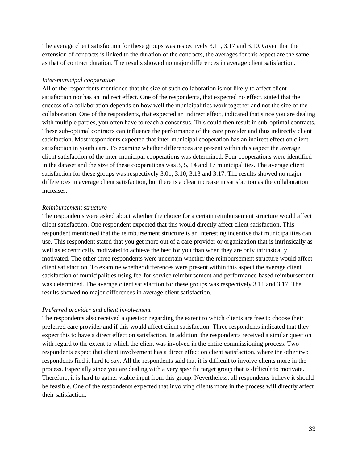The average client satisfaction for these groups was respectively 3.11, 3.17 and 3.10. Given that the extension of contracts is linked to the duration of the contracts, the averages for this aspect are the same as that of contract duration. The results showed no major differences in average client satisfaction.

#### *Inter-municipal cooperation*

All of the respondents mentioned that the size of such collaboration is not likely to affect client satisfaction nor has an indirect effect. One of the respondents, that expected no effect, stated that the success of a collaboration depends on how well the municipalities work together and not the size of the collaboration. One of the respondents, that expected an indirect effect, indicated that since you are dealing with multiple parties, you often have to reach a consensus. This could then result in sub-optimal contracts. These sub-optimal contracts can influence the performance of the care provider and thus indirectly client satisfaction. Most respondents expected that inter-municipal cooperation has an indirect effect on client satisfaction in youth care. To examine whether differences are present within this aspect the average client satisfaction of the inter-municipal cooperations was determined. Four cooperations were identified in the dataset and the size of these cooperations was 3, 5, 14 and 17 municipalities. The average client satisfaction for these groups was respectively 3.01, 3.10, 3.13 and 3.17. The results showed no major differences in average client satisfaction, but there is a clear increase in satisfaction as the collaboration increases.

#### *Reimbursement structure*

The respondents were asked about whether the choice for a certain reimbursement structure would affect client satisfaction. One respondent expected that this would directly affect client satisfaction. This respondent mentioned that the reimbursement structure is an interesting incentive that municipalities can use. This respondent stated that you get more out of a care provider or organization that is intrinsically as well as eccentrically motivated to achieve the best for you than when they are only intrinsically motivated. The other three respondents were uncertain whether the reimbursement structure would affect client satisfaction. To examine whether differences were present within this aspect the average client satisfaction of municipalities using fee-for-service reimbursement and performance-based reimbursement was determined. The average client satisfaction for these groups was respectively 3.11 and 3.17. The results showed no major differences in average client satisfaction.

#### *Preferred provider and client involvement*

The respondents also received a question regarding the extent to which clients are free to choose their preferred care provider and if this would affect client satisfaction. Three respondents indicated that they expect this to have a direct effect on satisfaction. In addition, the respondents received a similar question with regard to the extent to which the client was involved in the entire commissioning process. Two respondents expect that client involvement has a direct effect on client satisfaction, where the other two respondents find it hard to say. All the respondents said that it is difficult to involve clients more in the process. Especially since you are dealing with a very specific target group that is difficult to motivate. Therefore, it is hard to gather viable input from this group. Nevertheless, all respondents believe it should be feasible. One of the respondents expected that involving clients more in the process will directly affect their satisfaction.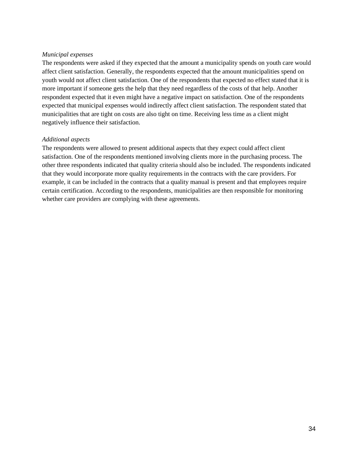#### *Municipal expenses*

The respondents were asked if they expected that the amount a municipality spends on youth care would affect client satisfaction. Generally, the respondents expected that the amount municipalities spend on youth would not affect client satisfaction. One of the respondents that expected no effect stated that it is more important if someone gets the help that they need regardless of the costs of that help. Another respondent expected that it even might have a negative impact on satisfaction. One of the respondents expected that municipal expenses would indirectly affect client satisfaction. The respondent stated that municipalities that are tight on costs are also tight on time. Receiving less time as a client might negatively influence their satisfaction.

#### *Additional aspects*

The respondents were allowed to present additional aspects that they expect could affect client satisfaction. One of the respondents mentioned involving clients more in the purchasing process. The other three respondents indicated that quality criteria should also be included. The respondents indicated that they would incorporate more quality requirements in the contracts with the care providers. For example, it can be included in the contracts that a quality manual is present and that employees require certain certification. According to the respondents, municipalities are then responsible for monitoring whether care providers are complying with these agreements.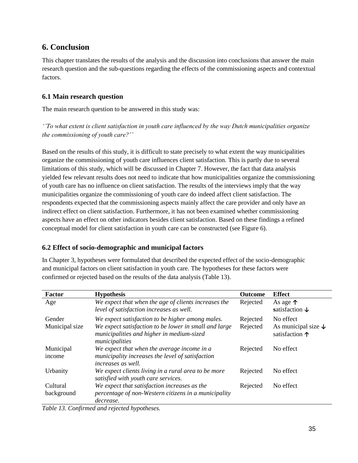## <span id="page-34-0"></span>**6. Conclusion**

This chapter translates the results of the analysis and the discussion into conclusions that answer the main research question and the sub-questions regarding the effects of the commissioning aspects and contextual factors.

## <span id="page-34-1"></span>**6.1 Main research question**

The main research question to be answered in this study was:

*''To what extent is client satisfaction in youth care influenced by the way Dutch municipalities organize the commissioning of youth care?''*

Based on the results of this study, it is difficult to state precisely to what extent the way municipalities organize the commissioning of youth care influences client satisfaction. This is partly due to several limitations of this study, which will be discussed in Chapter 7. However, the fact that data analysis yielded few relevant results does not need to indicate that how municipalities organize the commissioning of youth care has no influence on client satisfaction. The results of the interviews imply that the way municipalities organize the commissioning of youth care do indeed affect client satisfaction. The respondents expected that the commissioning aspects mainly affect the care provider and only have an indirect effect on client satisfaction. Furthermore, it has not been examined whether commissioning aspects have an effect on other indicators besides client satisfaction. Based on these findings a refined conceptual model for client satisfaction in youth care can be constructed (see Figure 6).

## <span id="page-34-2"></span>**6.2 Effect of socio-demographic and municipal factors**

In Chapter 3, hypotheses were formulated that described the expected effect of the socio-demographic and municipal factors on client satisfaction in youth care. The hypotheses for these factors were confirmed or rejected based on the results of the data analysis (Table 13).

| <b>Factor</b>          | <b>Hypothesis</b>                                                                                                            | Outcome  | <b>Effect</b>                                             |
|------------------------|------------------------------------------------------------------------------------------------------------------------------|----------|-----------------------------------------------------------|
| Age                    | We expect that when the age of clients increases the<br>level of satisfaction increases as well.                             | Rejected | As age $\uparrow$<br>satisfaction $\downarrow$            |
| Gender                 | We expect satisfaction to be higher among males.                                                                             | Rejected | No effect                                                 |
| Municipal size         | We expect satisfaction to be lower in small and large<br>municipalities and higher in medium-sized<br>municipalities         | Rejected | As municipal size $\downarrow$<br>satisfaction $\uparrow$ |
| Municipal<br>income    | We expect that when the average income in a<br>municipality increases the level of satisfaction<br><i>increases as well.</i> | Rejected | No effect                                                 |
| Urbanity               | We expect clients living in a rural area to be more<br>satisfied with youth care services.                                   | Rejected | No effect                                                 |
| Cultural<br>background | We expect that satisfaction increases as the<br>percentage of non-Western citizens in a municipality<br>decrease.            | Rejected | No effect                                                 |

*Table 13. Confirmed and rejected hypotheses.*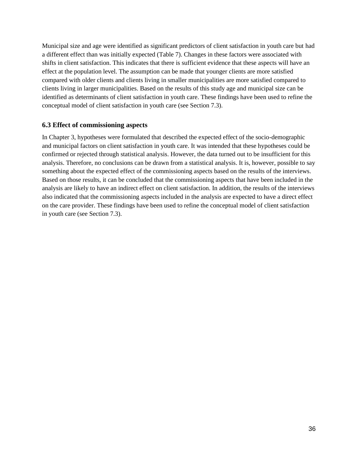Municipal size and age were identified as significant predictors of client satisfaction in youth care but had a different effect than was initially expected (Table 7). Changes in these factors were associated with shifts in client satisfaction. This indicates that there is sufficient evidence that these aspects will have an effect at the population level. The assumption can be made that younger clients are more satisfied compared with older clients and clients living in smaller municipalities are more satisfied compared to clients living in larger municipalities. Based on the results of this study age and municipal size can be identified as determinants of client satisfaction in youth care. These findings have been used to refine the conceptual model of client satisfaction in youth care (see Section 7.3).

## <span id="page-35-0"></span>**6.3 Effect of commissioning aspects**

<span id="page-35-1"></span>In Chapter 3, hypotheses were formulated that described the expected effect of the socio-demographic and municipal factors on client satisfaction in youth care. It was intended that these hypotheses could be confirmed or rejected through statistical analysis. However, the data turned out to be insufficient for this analysis. Therefore, no conclusions can be drawn from a statistical analysis. It is, however, possible to say something about the expected effect of the commissioning aspects based on the results of the interviews. Based on those results, it can be concluded that the commissioning aspects that have been included in the analysis are likely to have an indirect effect on client satisfaction. In addition, the results of the interviews also indicated that the commissioning aspects included in the analysis are expected to have a direct effect on the care provider. These findings have been used to refine the conceptual model of client satisfaction in youth care (see Section 7.3).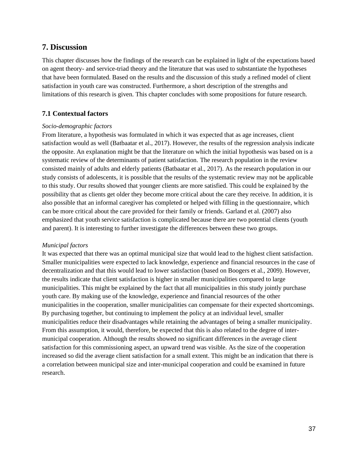## **7. Discussion**

This chapter discusses how the findings of the research can be explained in light of the expectations based on agent theory- and service-triad theory and the literature that was used to substantiate the hypotheses that have been formulated. Based on the results and the discussion of this study a refined model of client satisfaction in youth care was constructed. Furthermore, a short description of the strengths and limitations of this research is given. This chapter concludes with some propositions for future research.

## <span id="page-36-0"></span>**7.1 Contextual factors**

#### *Socio-demographic factors*

From literature, a hypothesis was formulated in which it was expected that as age increases, client satisfaction would as well (Batbaatar et al., 2017). However, the results of the regression analysis indicate the opposite. An explanation might be that the literature on which the initial hypothesis was based on is a systematic review of the determinants of patient satisfaction. The research population in the review consisted mainly of adults and elderly patients (Batbaatar et al., 2017). As the research population in our study consists of adolescents, it is possible that the results of the systematic review may not be applicable to this study. Our results showed that younger clients are more satisfied. This could be explained by the possibility that as clients get older they become more critical about the care they receive. In addition, it is also possible that an informal caregiver has completed or helped with filling in the questionnaire, which can be more critical about the care provided for their family or friends. Garland et al. (2007) also emphasized that youth service satisfaction is complicated because there are two potential clients (youth and parent). It is interesting to further investigate the differences between these two groups.

#### *Municipal factors*

<span id="page-36-1"></span>It was expected that there was an optimal municipal size that would lead to the highest client satisfaction. Smaller municipalities were expected to lack knowledge, experience and financial resources in the case of decentralization and that this would lead to lower satisfaction (based on Boogers et al., 2009). However, the results indicate that client satisfaction is higher in smaller municipalities compared to large municipalities. This might be explained by the fact that all municipalities in this study jointly purchase youth care. By making use of the knowledge, experience and financial resources of the other municipalities in the cooperation, smaller municipalities can compensate for their expected shortcomings. By purchasing together, but continuing to implement the policy at an individual level, smaller municipalities reduce their disadvantages while retaining the advantages of being a smaller municipality. From this assumption, it would, therefore, be expected that this is also related to the degree of intermunicipal cooperation. Although the results showed no significant differences in the average client satisfaction for this commissioning aspect, an upward trend was visible. As the size of the cooperation increased so did the average client satisfaction for a small extent. This might be an indication that there is a correlation between municipal size and inter-municipal cooperation and could be examined in future research.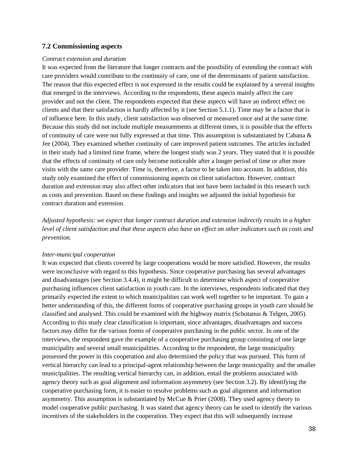#### **7.2 Commissioning aspects**

#### *Contract extension and duration*

It was expected from the literature that longer contracts and the possibility of extending the contract with care providers would contribute to the continuity of care, one of the determinants of patient satisfaction. The reason that this expected effect is not expressed in the results could be explained by a several insights that emerged in the interviews. According to the respondents, these aspects mainly affect the care provider and not the client. The respondents expected that these aspects will have an indirect effect on clients and that their satisfaction is hardly affected by it (see Section 5.1.1). Time may be a factor that is of influence here. In this study, client satisfaction was observed or measured once and at the same time. Because this study did not include multiple measurements at different times, it is possible that the effects of continuity of care were not fully expressed at that time. This assumption is substantiated by Cabana & Jee (2004). They examined whether continuity of care improved patient outcomes. The articles included in their study had a limited time frame, where the longest study was 2 years. They stated that it is possible that the effects of continuity of care only become noticeable after a longer period of time or after more visits with the same care provider. Time is, therefore, a factor to be taken into account. In addition, this study only examined the effect of commissioning aspects on client satisfaction. However, contract duration and extension may also affect other indicators that not have been included in this research such as costs and prevention. Based on these findings and insights we adjusted the initial hypothesis for contract duration and extension.

*Adjusted hypothesis: we expect that longer contract duration and extension indirectly results in a higher level of client satisfaction and that these aspects also have an effect on other indicators such as costs and prevention.* 

#### *Inter-municipal cooperation*

It was expected that clients covered by large cooperations would be more satisfied. However, the results were inconclusive with regard to this hypothesis. Since cooperative purchasing has several advantages and disadvantages (see Section 3.4.4), it might be difficult to determine which aspect of cooperative purchasing influences client satisfaction in youth care. In the interviews, respondents indicated that they primarily expected the extent to which municipalities can work well together to be important. To gain a better understanding of this, the different forms of cooperative purchasing groups in youth care should be classified and analysed. This could be examined with the highway matrix (Schotanus & Telgen, 2005). According to this study clear classification is important, since advantages, disadvantages and success factors may differ for the various forms of cooperative purchasing in the public sector. In one of the interviews, the respondent gave the example of a cooperative purchasing group consisting of one large municipality and several small municipalities. According to the respondent, the large municipality possessed the power in this cooperation and also determined the policy that was pursued. This form of vertical hierarchy can lead to a principal-agent relationship between the large municipality and the smaller municipalities. The resulting vertical hierarchy can, in addition, entail the problems associated with agency theory such as goal alignment and information asymmetry (see Section 3.2). By identifying the cooperative purchasing form, it is easier to resolve problems such as goal alignment and information asymmetry. This assumption is substantiated by McCue & Prier (2008). They used agency theory to model cooperative public purchasing. It was stated that agency theory can be used to identify the various incentives of the stakeholders in the cooperation. They expect that this will subsequently increase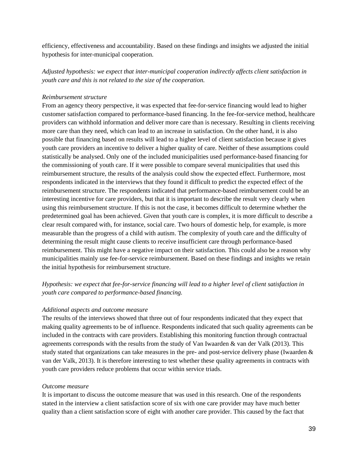efficiency, effectiveness and accountability. Based on these findings and insights we adjusted the initial hypothesis for inter-municipal cooperation.

*Adjusted hypothesis: we expect that inter-municipal cooperation indirectly affects client satisfaction in youth care and this is not related to the size of the cooperation.* 

#### *Reimbursement structure*

From an agency theory perspective, it was expected that fee-for-service financing would lead to higher customer satisfaction compared to performance-based financing. In the fee-for-service method, healthcare providers can withhold information and deliver more care than is necessary. Resulting in clients receiving more care than they need, which can lead to an increase in satisfaction. On the other hand, it is also possible that financing based on results will lead to a higher level of client satisfaction because it gives youth care providers an incentive to deliver a higher quality of care. Neither of these assumptions could statistically be analysed. Only one of the included municipalities used performance-based financing for the commissioning of youth care. If it were possible to compare several municipalities that used this reimbursement structure, the results of the analysis could show the expected effect. Furthermore, most respondents indicated in the interviews that they found it difficult to predict the expected effect of the reimbursement structure. The respondents indicated that performance-based reimbursement could be an interesting incentive for care providers, but that it is important to describe the result very clearly when using this reimbursement structure. If this is not the case, it becomes difficult to determine whether the predetermined goal has been achieved. Given that youth care is complex, it is more difficult to describe a clear result compared with, for instance, social care. Two hours of domestic help, for example, is more measurable than the progress of a child with autism. The complexity of youth care and the difficulty of determining the result might cause clients to receive insufficient care through performance-based reimbursement. This might have a negative impact on their satisfaction. This could also be a reason why municipalities mainly use fee-for-service reimbursement. Based on these findings and insights we retain the initial hypothesis for reimbursement structure.

*Hypothesis: we expect that fee-for-service financing will lead to a higher level of client satisfaction in youth care compared to performance-based financing.*

#### *Additional aspects and outcome measure*

The results of the interviews showed that three out of four respondents indicated that they expect that making quality agreements to be of influence. Respondents indicated that such quality agreements can be included in the contracts with care providers. Establishing this monitoring function through contractual agreements corresponds with the results from the study of Van Iwaarden & van der Valk (2013). This study stated that organizations can take measures in the pre- and post-service delivery phase (Iwaarden & van der Valk, 2013). It is therefore interesting to test whether these quality agreements in contracts with youth care providers reduce problems that occur within service triads.

#### *Outcome measure*

It is important to discuss the outcome measure that was used in this research. One of the respondents stated in the interview a client satisfaction score of six with one care provider may have much better quality than a client satisfaction score of eight with another care provider. This caused by the fact that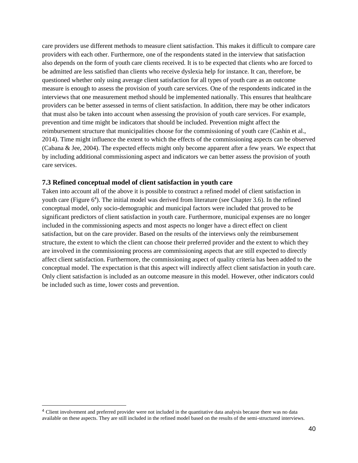care providers use different methods to measure client satisfaction. This makes it difficult to compare care providers with each other. Furthermore, one of the respondents stated in the interview that satisfaction also depends on the form of youth care clients received. It is to be expected that clients who are forced to be admitted are less satisfied than clients who receive dyslexia help for instance. It can, therefore, be questioned whether only using average client satisfaction for all types of youth care as an outcome measure is enough to assess the provision of youth care services. One of the respondents indicated in the interviews that one measurement method should be implemented nationally. This ensures that healthcare providers can be better assessed in terms of client satisfaction. In addition, there may be other indicators that must also be taken into account when assessing the provision of youth care services. For example, prevention and time might be indicators that should be included. Prevention might affect the reimbursement structure that municipalities choose for the commissioning of youth care (Cashin et al., 2014). Time might influence the extent to which the effects of the commissioning aspects can be observed (Cabana & Jee, 2004). The expected effects might only become apparent after a few years. We expect that by including additional commissioning aspect and indicators we can better assess the provision of youth care services.

#### **7.3 Refined conceptual model of client satisfaction in youth care**

Taken into account all of the above it is possible to construct a refined model of client satisfaction in youth care (Figure 6<sup>4</sup>). The initial model was derived from literature (see Chapter 3.6). In the refined conceptual model, only socio-demographic and municipal factors were included that proved to be significant predictors of client satisfaction in youth care. Furthermore, municipal expenses are no longer included in the commissioning aspects and most aspects no longer have a direct effect on client satisfaction, but on the care provider. Based on the results of the interviews only the reimbursement structure, the extent to which the client can choose their preferred provider and the extent to which they are involved in the commissioning process are commissioning aspects that are still expected to directly affect client satisfaction. Furthermore, the commissioning aspect of quality criteria has been added to the conceptual model. The expectation is that this aspect will indirectly affect client satisfaction in youth care. Only client satisfaction is included as an outcome measure in this model. However, other indicators could be included such as time, lower costs and prevention.

<sup>&</sup>lt;sup>4</sup> Client involvement and preferred provider were not included in the quantitative data analysis because there was no data available on these aspects. They are still included in the refined model based on the results of the semi-structured interviews.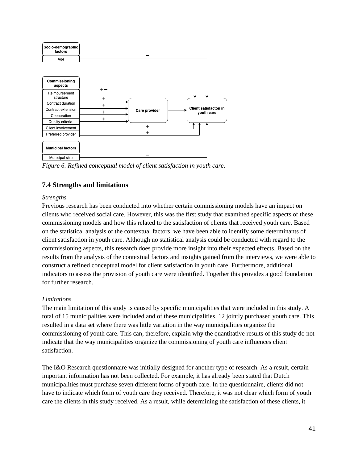

<span id="page-40-0"></span>*Figure 6. Refined conceptual model of client satisfaction in youth care.* 

## **7.4 Strengths and limitations**

### *Strengths*

Previous research has been conducted into whether certain commissioning models have an impact on clients who received social care. However, this was the first study that examined specific aspects of these commissioning models and how this related to the satisfaction of clients that received youth care. Based on the statistical analysis of the contextual factors, we have been able to identify some determinants of client satisfaction in youth care. Although no statistical analysis could be conducted with regard to the commissioning aspects, this research does provide more insight into their expected effects. Based on the results from the analysis of the contextual factors and insights gained from the interviews, we were able to construct a refined conceptual model for client satisfaction in youth care. Furthermore, additional indicators to assess the provision of youth care were identified. Together this provides a good foundation for further research.

## *Limitations*

The main limitation of this study is caused by specific municipalities that were included in this study. A total of 15 municipalities were included and of these municipalities, 12 jointly purchased youth care. This resulted in a data set where there was little variation in the way municipalities organize the commissioning of youth care. This can, therefore, explain why the quantitative results of this study do not indicate that the way municipalities organize the commissioning of youth care influences client satisfaction.

The I&O Research questionnaire was initially designed for another type of research. As a result, certain important information has not been collected. For example, it has already been stated that Dutch municipalities must purchase seven different forms of youth care. In the questionnaire, clients did not have to indicate which form of youth care they received. Therefore, it was not clear which form of youth care the clients in this study received. As a result, while determining the satisfaction of these clients, it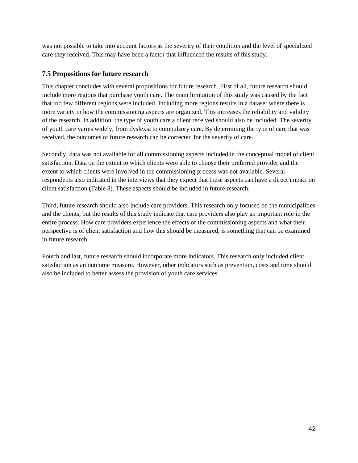was not possible to take into account factors as the severity of their condition and the level of specialized care they received. This may have been a factor that influenced the results of this study.

## <span id="page-41-0"></span>**7.5 Propositions for future research**

This chapter concludes with several propositions for future research. First of all, future research should include more regions that purchase youth care. The main limitation of this study was caused by the fact that too few different regions were included. Including more regions results in a dataset where there is more variety in how the commissioning aspects are organized. This increases the reliability and validity of the research. In addition, the type of youth care a client received should also be included. The severity of youth care varies widely, from dyslexia to compulsory care. By determining the type of care that was received, the outcomes of future research can be corrected for the severity of care.

Secondly, data was not available for all commissioning aspects included in the conceptual model of client satisfaction. Data on the extent to which clients were able to choose their preferred provider and the extent to which clients were involved in the commissioning process was not available. Several respondents also indicated in the interviews that they expect that these aspects can have a direct impact on client satisfaction (Table 8). These aspects should be included in future research.

Third, future research should also include care providers. This research only focused on the municipalities and the clients, but the results of this study indicate that care providers also play an important role in the entire process. How care providers experience the effects of the commissioning aspects and what their perspective is of client satisfaction and how this should be measured, is something that can be examined in future research.

Fourth and last, future research should incorporate more indicators. This research only included client satisfaction as an outcome measure. However, other indicators such as prevention, costs and time should also be included to better assess the provision of youth care services.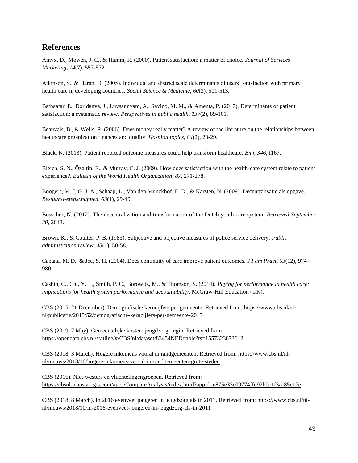## <span id="page-42-0"></span>**References**

Amyx, D., Mowen, J. C., & Hamm, R. (2000). Patient satisfaction: a matter of choice. *Journal of Services Marketing*, *14*(7), 557-572.

Atkinson, S., & Haran, D. (2005). Individual and district scale determinants of users' satisfaction with primary health care in developing countries. *Social Science & Medicine*, *60*(3), 501-513.

Batbaatar, E., Dorjdagva, J., Luvsannyam, A., Savino, M. M., & Amenta, P. (2017). Determinants of patient satisfaction: a systematic review. *Perspectives in public health*, *137*(2), 89-101.

Beauvais, B., & Wells, R. (2006). Does money really matter? A review of the literature on the relationships between healthcare organization finances and quality. *Hospital topics*, *84*(2), 20-29.

Black, N. (2013). Patient reported outcome measures could help transform healthcare. *Bmj*, *346*, f167.

Bleich, S. N., Özaltin, E., & Murray, C. J. (2009). How does satisfaction with the health-care system relate to patient experience?. *Bulletin of the World Health Organization*, *87*, 271-278.

Boogers, M. J. G. J. A., Schaap, L., Van den Munckhof, E. D., & Karsten, N. (2009). Decentralisatie als opgave. *Bestuurswetenschappen*, *63*(1), 29-49.

Bosscher, N. (2012). The decentralization and transformation of the Dutch youth care system. *Retrieved September 30*, 2013.

Brown, K., & Coulter, P. B. (1983). Subjective and objective measures of police service delivery. *Public administration review*, *43*(1), 50-58.

Cabana, M. D., & Jee, S. H. (2004). Does continuity of care improve patient outcomes. *J Fam Pract*, *53*(12), 974- 980.

Cashin, C., Chi, Y. L., Smith, P. C., Borowitz, M., & Thomson, S. (2014). *Paying for performance in health care: implications for health system performance and accountability*. McGraw-Hill Education (UK).

CBS (2015, 21 December). Demografische kerncijfers per gemeente. Retrieved from: [https://www.cbs.nl/nl](https://www.cbs.nl/nl-nl/publicatie/2015/52/demografische-kerncijfers-per-gemeente-2015)[nl/publicatie/2015/52/demografische-kerncijfers-per-gemeente-2015](https://www.cbs.nl/nl-nl/publicatie/2015/52/demografische-kerncijfers-per-gemeente-2015)

CBS (2019, 7 May). Gemeentelijke kosten; jeugdzorg, regio. Retrieved from: <https://opendata.cbs.nl/statline/#/CBS/nl/dataset/83454NED/table?ts=1557323873612>

CBS (2018, 3 March). Hogere inkomens vooral in randgemeenten. Retrieved from: [https://www.cbs.nl/nl](https://www.cbs.nl/nl-nl/nieuws/2018/10/hogere-inkomens-vooral-in-randgemeenten-grote-steden)[nl/nieuws/2018/10/hogere-inkomens-vooral-in-randgemeenten-grote-steden](https://www.cbs.nl/nl-nl/nieuws/2018/10/hogere-inkomens-vooral-in-randgemeenten-grote-steden)

CBS (2016). Niet-westers en vluchtelingengroepen. Retrieved from: <https://cbsnl.maps.arcgis.com/apps/CompareAnalysis/index.html?appid=e875e33c09774ffd92b9c1f3ac85c17e>

CBS (2018, 8 March). In 2016 evenveel jongeren in jeugdzorg als in 2011. Retrieved from: [https://www.cbs.nl/nl](https://www.cbs.nl/nl-nl/nieuws/2018/10/in-2016-evenveel-jongeren-in-jeugdzorg-als-in-2011)[nl/nieuws/2018/10/in-2016-evenveel-jongeren-in-jeugdzorg-als-in-2011](https://www.cbs.nl/nl-nl/nieuws/2018/10/in-2016-evenveel-jongeren-in-jeugdzorg-als-in-2011)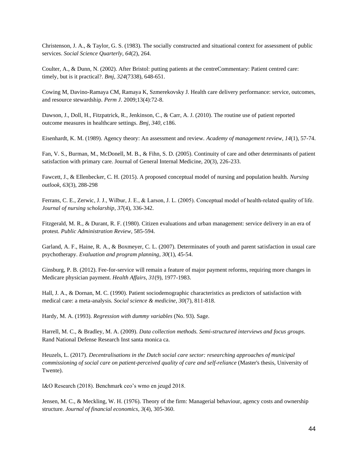Christenson, J. A., & Taylor, G. S. (1983). The socially constructed and situational context for assessment of public services. *Social Science Quarterly*, *64*(2), 264.

Coulter, A., & Dunn, N. (2002). After Bristol: putting patients at the centreCommentary: Patient centred care: timely, but is it practical?. *Bmj*, *324*(7338), 648-651.

Cowing M, Davino-Ramaya CM, Ramaya K, Szmerekovsky J. Health care delivery performance: service, outcomes, and resource stewardship. *Perm J*. 2009;13(4):72-8.

Dawson, J., Doll, H., Fitzpatrick, R., Jenkinson, C., & Carr, A. J. (2010). The routine use of patient reported outcome measures in healthcare settings. *Bmj*, *340*, c186.

Eisenhardt, K. M. (1989). Agency theory: An assessment and review. *Academy of management review*, *14*(1), 57-74.

Fan, V. S., Burman, M., McDonell, M. B., & Fihn, S. D. (2005). Continuity of care and other determinants of patient satisfaction with primary care. Journal of General Internal Medicine, 20(3), 226-233.

Fawcett, J., & Ellenbecker, C. H. (2015). A proposed conceptual model of nursing and population health. *Nursing outlook*, *63*(3), 288-298

Ferrans, C. E., Zerwic, J. J., Wilbur, J. E., & Larson, J. L. (2005). Conceptual model of health-related quality of life. *Journal of nursing scholarship*, *37*(4), 336-342.

Fitzgerald, M. R., & Durant, R. F. (1980). Citizen evaluations and urban management: service delivery in an era of protest. *Public Administration Review*, 585-594.

Garland, A. F., Haine, R. A., & Boxmeyer, C. L. (2007). Determinates of youth and parent satisfaction in usual care psychotherapy. *Evaluation and program planning*, *30*(1), 45-54.

Ginsburg, P. B. (2012). Fee-for-service will remain a feature of major payment reforms, requiring more changes in Medicare physician payment. *Health Affairs*, *31*(9), 1977-1983.

Hall, J. A., & Dornan, M. C. (1990). Patient sociodemographic characteristics as predictors of satisfaction with medical care: a meta-analysis*. Social science & medicine, 30*(7), 811-818.

Hardy, M. A. (1993). *Regression with dummy variables* (No. 93). Sage.

Harrell, M. C., & Bradley, M. A. (2009). *Data collection methods. Semi-structured interviews and focus groups*. Rand National Defense Research Inst santa monica ca.

Heuzels, L. (2017). *Decentralisations in the Dutch social care sector: researching approaches of municipal commissioning of social care on patient-perceived quality of care and self-reliance* (Master's thesis, University of Twente).

I&O Research (2018). Benchmark ceo's wmo en jeugd 2018.

Jensen, M. C., & Meckling, W. H. (1976). Theory of the firm: Managerial behaviour, agency costs and ownership structure. *Journal of financial economics*, *3*(4), 305-360.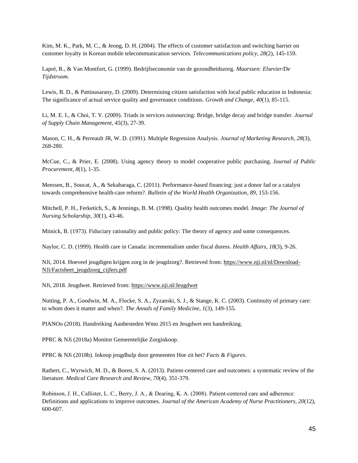Kim, M. K., Park, M. C., & Jeong, D. H. (2004). The effects of customer satisfaction and switching barrier on customer loyalty in Korean mobile telecommunication services. *Telecommunications policy*, *28*(2), 145-159.

Lapré, R., & Van Montfort, G. (1999). Bedrijfseconomie van de gezondheidszorg. *Maarssen: Elsevier/De Tijdstroom*.

Lewis, B. D., & Pattinasarany, D. (2009). Determining citizen satisfaction with local public education in Indonesia: The significance of actual service quality and governance conditions. *Growth and Change, 40*(1), 85-115.

Li, M. E. I., & Choi, T. Y. (2009). Triads in services outsourcing: Bridge, bridge decay and bridge transfer. *Journal of Supply Chain Management*, *45*(3), 27-39.

Mason, C. H., & Perreault JR, W. D. (1991). Multiple Regression Analysis. *Journal of Marketing Research*, *28*(3), 268-280.

McCue, C., & Prier, E. (2008). Using agency theory to model cooperative public purchasing. *Journal of Public Procurement*, *8*(1), 1-35.

Meessen, B., Soucat, A., & Sekabaraga, C. (2011). Performance-based financing: just a donor fad or a catalyst towards comprehensive health-care reform?. *Bulletin of the World Health Organization*, *89*, 153-156.

Mitchell, P. H., Ferketich, S., & Jennings, B. M. (1998). Quality health outcomes model. *Image: The Journal of Nursing Scholarship*, *30*(1), 43-46.

Mitnick, B. (1973). Fiduciary rationality and public policy: The theory of agency and some consequences.

Naylor, C. D. (1999). Health care in Canada: incrementalism under fiscal duress. *Health Affairs*, *18*(3), 9-26.

NJi, 2014. Hoeveel jeugdigen krijgen zorg in de jeugdzorg?. Retrieved from[: https://www.nji.nl/nl/Download-](https://www.nji.nl/nl/Download-NJi/Factsheet_jeugdzorg_cijfers.pdf)[NJi/Factsheet\\_jeugdzorg\\_cijfers.pdf](https://www.nji.nl/nl/Download-NJi/Factsheet_jeugdzorg_cijfers.pdf)

NJi, 2018. Jeugdwet. Retrieved from[: https://www.nji.nl/Jeugdwet](https://www.nji.nl/Jeugdwet)

Nutting, P. A., Goodwin, M. A., Flocke, S. A., Zyzanski, S. J., & Stange, K. C. (2003). Continuity of primary care: to whom does it matter and when?. *The Annals of Family Medicine*, *1*(3), 149-155.

PIANOo (2018). Handreiking Aanbesteden Wmo 2015 en Jeugdwet een handreiking.

PPRC & NJi (2018a) Monitor Gemeentelijke Zorginkoop.

PPRC & NJi (2018b). Inkoop jeugdhulp door gemeenten Hoe zit het? *Facts & Figures.*

Rathert, C., Wyrwich, M. D., & Boren, S. A. (2013). Patient-centered care and outcomes: a systematic review of the literature. *Medical Care Research and Review*, *70*(4), 351-379.

Robinson, J. H., Callister, L. C., Berry, J. A., & Dearing, K. A. (2008). Patient‐centered care and adherence: Definitions and applications to improve outcomes. *Journal of the American Academy of Nurse Practitioners*, *20*(12), 600-607.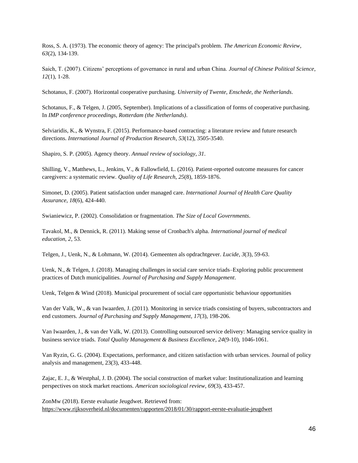Ross, S. A. (1973). The economic theory of agency: The principal's problem. *The American Economic Review*, *63*(2), 134-139.

Saich, T. (2007). Citizens' perceptions of governance in rural and urban China. *Journal of Chinese Political Science*, *12*(1), 1-28.

Schotanus, F. (2007). Horizontal cooperative purchasing. *University of Twente, Enschede, the Netherlands*.

Schotanus, F., & Telgen, J. (2005, September). Implications of a classification of forms of cooperative purchasing. In *IMP conference proceedings, Rotterdam (the Netherlands)*.

Selviaridis, K., & Wynstra, F. (2015). Performance-based contracting: a literature review and future research directions. *International Journal of Production Research*, *53*(12), 3505-3540.

Shapiro, S. P. (2005). Agency theory. *Annual review of sociology*, *31*.

Shilling, V., Matthews, L., Jenkins, V., & Fallowfield, L. (2016). Patient-reported outcome measures for cancer caregivers: a systematic review. *Quality of Life Research*, *25*(8), 1859-1876.

Simonet, D. (2005). Patient satisfaction under managed care. *International Journal of Health Care Quality Assurance*, *18*(6), 424-440.

Swianiewicz, P. (2002). Consolidation or fragmentation. *The Size of Local Governments*.

Tavakol, M., & Dennick, R. (2011). Making sense of Cronbach's alpha. *International journal of medical education*, *2*, 53.

Telgen, J., Uenk, N., & Lohmann, W. (2014). Gemeenten als opdrachtgever. *Lucide*, *3*(3), 59-63.

Uenk, N., & Telgen, J. (2018). Managing challenges in social care service triads–Exploring public procurement practices of Dutch municipalities. *Journal of Purchasing and Supply Management*.

Uenk, Telgen & Wind (2018). Municipal procurement of social care opportunistic behaviour opportunities

Van der Valk, W., & van Iwaarden, J. (2011). Monitoring in service triads consisting of buyers, subcontractors and end customers. *Journal of Purchasing and Supply Management*, *17*(3), 198-206.

Van Iwaarden, J., & van der Valk, W. (2013). Controlling outsourced service delivery: Managing service quality in business service triads. *Total Quality Management & Business Excellence*, *24*(9-10), 1046-1061.

Van Ryzin, G. G. (2004). Expectations, performance, and citizen satisfaction with urban services. Journal of policy analysis and management, 23(3), 433-448.

Zajac, E. J., & Westphal, J. D. (2004). The social construction of market value: Institutionalization and learning perspectives on stock market reactions. *American sociological review*, *69*(3), 433-457.

ZonMw (2018). Eerste evaluatie Jeugdwet. Retrieved from: <https://www.rijksoverheid.nl/documenten/rapporten/2018/01/30/rapport-eerste-evaluatie-jeugdwet>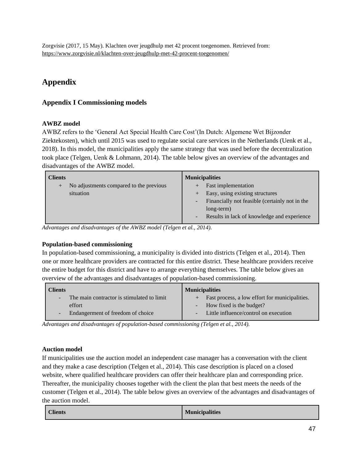## <span id="page-46-0"></span>**Appendix**

## <span id="page-46-1"></span>**Appendix I Commissioning models**

## **AWBZ model**

AWBZ refers to the 'General Act Special Health Care Cost'(In Dutch: Algemene Wet Bijzonder Ziektekosten), which until 2015 was used to regulate social care services in the Netherlands (Uenk et al., 2018). In this model, the municipalities apply the same strategy that was used before the decentralization took place (Telgen, Uenk & Lohmann, 2014). The table below gives an overview of the advantages and disadvantages of the AWBZ model.

| Clients                                           | <b>Municipalities</b>                               |
|---------------------------------------------------|-----------------------------------------------------|
| No adjustments compared to the previous<br>$^{+}$ | <b>Fast implementation</b><br>$^{+}$                |
| situation                                         | Easy, using existing structures<br>$+$              |
|                                                   | Financially not feasible (certainly not in the<br>۰ |
|                                                   | long-term)                                          |
|                                                   | Results in lack of knowledge and experience<br>÷    |

*Advantages and disadvantages of the AWBZ model (Telgen et al., 2014).*

## **Population-based commissioning**

In population-based commissioning, a municipality is divided into districts (Telgen et al., 2014). Then one or more healthcare providers are contracted for this entire district. These healthcare providers receive the entire budget for this district and have to arrange everything themselves. The table below gives an overview of the advantages and disadvantages of population-based commissioning.

| <b>Clients</b>                                          | <b>Municipalities</b>                          |  |  |  |  |
|---------------------------------------------------------|------------------------------------------------|--|--|--|--|
| The main contractor is stimulated to limit<br><b>CO</b> | Fast process, a low effort for municipalities. |  |  |  |  |
| effort                                                  | - How fixed is the budget?                     |  |  |  |  |
| Endangerment of freedom of choice                       | Little influence/control on execution          |  |  |  |  |

*Advantages and disadvantages of population-based commissioning (Telgen et al., 2014).*

## **Auction model**

If municipalities use the auction model an independent case manager has a conversation with the client and they make a case description (Telgen et al., 2014). This case description is placed on a closed website, where qualified healthcare providers can offer their healthcare plan and corresponding price. Thereafter, the municipality chooses together with the client the plan that best meets the needs of the customer (Telgen et al., 2014). The table below gives an overview of the advantages and disadvantages of the auction model.

| <b>Clients</b> | <b>Municipalities</b> |
|----------------|-----------------------|
|----------------|-----------------------|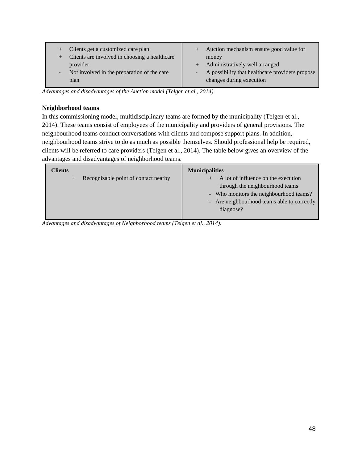| Clients get a customized care plan<br>$^{+}$<br>Clients are involved in choosing a healthcare<br>Æ | Auction mechanism ensure good value for<br>$^{+}$<br>money |
|----------------------------------------------------------------------------------------------------|------------------------------------------------------------|
| provider                                                                                           | + Administratively well arranged                           |
| Not involved in the preparation of the care                                                        | A possibility that healthcare providers propose            |
| $\blacksquare$                                                                                     | $\overline{\phantom{a}}$                                   |
| plan                                                                                               | changes during execution                                   |

*Advantages and disadvantages of the Auction model (Telgen et al., 2014).*

### **Neighborhood teams**

In this commissioning model, multidisciplinary teams are formed by the municipality (Telgen et al., 2014). These teams consist of employees of the municipality and providers of general provisions. The neighbourhood teams conduct conversations with clients and compose support plans. In addition, neighbourhood teams strive to do as much as possible themselves. Should professional help be required, clients will be referred to care providers (Telgen et al., 2014). The table below gives an overview of the advantages and disadvantages of neighborhood teams.

| Clients                                      | <b>Municipalities</b>                                                                                                                                                         |
|----------------------------------------------|-------------------------------------------------------------------------------------------------------------------------------------------------------------------------------|
| Recognizable point of contact nearby<br>/+ 7 | A lot of influence on the execution<br>through the neighbourhood teams<br>- Who monitors the neighbourhood teams?<br>- Are neighbourhood teams able to correctly<br>diagnose? |

<span id="page-47-0"></span>*Advantages and disadvantages of Neighborhood teams (Telgen et al., 2014).*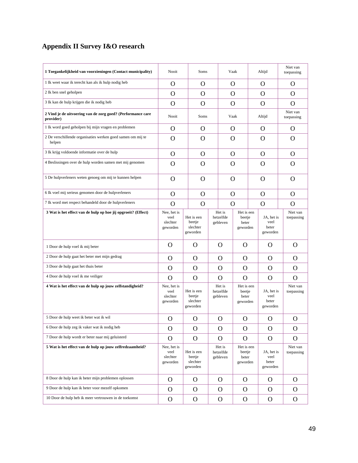## **Appendix II Survey I&O research**

| 1 Toegankelijkheid van voorzieningen (Contact municipality)              | Nooit                                       | Soms                                         |  |                                 | Vaak                                                                         |                | Altijd                                  | Niet van<br>toepassing |
|--------------------------------------------------------------------------|---------------------------------------------|----------------------------------------------|--|---------------------------------|------------------------------------------------------------------------------|----------------|-----------------------------------------|------------------------|
| 1 Ik weet waar ik terecht kan als ik hulp nodig heb                      | O                                           | $\Omega$                                     |  | $\Omega$                        |                                                                              |                | O                                       | O                      |
| 2 Ik ben snel geholpen                                                   | $\Omega$                                    | $\Omega$                                     |  | $\Omega$                        |                                                                              | $\overline{O}$ |                                         | $\Omega$               |
| 3 Ik kan de hulp krijgen die ik nodig heb                                | $\Omega$                                    | $\Omega$                                     |  | $\Omega$                        |                                                                              | $\overline{O}$ |                                         | $\Omega$               |
| 2 Vind je de uitvoering van de zorg goed? (Performance care<br>provider) | Nooit                                       | Soms                                         |  | Vaak                            |                                                                              |                | Altijd                                  | Niet van<br>toepassing |
| 1 Ik word goed geholpen bij mijn vragen en problemen                     | $\Omega$                                    | $\Omega$                                     |  | $\Omega$                        |                                                                              |                | $\Omega$                                | $\Omega$               |
| 2 De verschillende organisaties werken goed samen om mij te<br>helpen    | $\Omega$                                    | $\Omega$                                     |  | $\Omega$                        |                                                                              |                | O                                       | $\Omega$               |
| 3 Ik krijg voldoende informatie over de hulp                             | $\Omega$                                    | $\Omega$                                     |  | $\Omega$                        |                                                                              |                | $\mathbf{O}$                            | $\Omega$               |
| 4 Beslissingen over de hulp worden samen met mij genomen                 | O                                           | $\Omega$                                     |  | $\Omega$                        |                                                                              |                | $\Omega$                                | $\Omega$               |
| 5 De hulpverleners weten genoeg om mij te kunnen helpen                  | $\Omega$                                    | $\Omega$                                     |  | $\Omega$                        |                                                                              |                | $\Omega$                                | $\Omega$               |
| 6 Ik voel mij serieus genomen door de hulpverleners                      | $\Omega$                                    | $\Omega$                                     |  | $\Omega$                        |                                                                              |                | O                                       | $\Omega$               |
| 7 Ik word met respect behandeld door de hulpverleners                    | $\Omega$                                    | $\Omega$                                     |  | O                               |                                                                              |                | $\mathbf{O}$                            | $\Omega$               |
| 3 Wat is het effect van de hulp op hoe jij opgroeit? (Effect)            | Nee, het is<br>veel<br>slechter<br>geworden | Het is een<br>beetje<br>slechter<br>geworden |  | Het is<br>hetzelfde<br>gebleven | Het is een<br>beetje<br>beter<br>geworden                                    |                | JA, het is<br>veel<br>beter<br>geworden | Niet van<br>toepassing |
| 1 Door de hulp voel ik mij beter                                         | $\Omega$                                    | $\mathbf{O}$                                 |  | $\overline{O}$                  | $\overline{O}$                                                               |                | $\Omega$                                | $\Omega$               |
| 2 Door de hulp gaat het beter met mijn gedrag                            | O                                           | $\overline{O}$                               |  | $\Omega$                        | $\overline{O}$                                                               |                | $\Omega$                                | $\overline{O}$         |
| 3 Door de hulp gaat het thuis beter                                      | O                                           | O                                            |  | O                               | O                                                                            |                | $\Omega$                                | O                      |
| 4 Door de hulp voel ik me veiliger                                       | O                                           | $\mathbf{O}$                                 |  | O                               | $\Omega$                                                                     |                | $\Omega$                                | $\Omega$               |
| 4 Wat is het effect van de hulp op jouw zelfstandigheid?                 | Nee, het is<br>veel<br>slechter<br>geworden | Het is een<br>beetie<br>slechter<br>geworden |  |                                 | Het is<br>Het is een<br>hetzelfde<br>beetje<br>beter<br>gebleven<br>geworden |                | JA, het is<br>veel<br>beter<br>geworden | Niet van<br>toepassing |
| 5 Door de hulp weet ik beter wat ik wil                                  | O                                           | O                                            |  | $\mathbf{O}$<br>O               |                                                                              |                | $\Omega$                                | $\mathbf{O}$           |
| 6 Door de hulp zeg ik vaker wat ik nodig heb                             | $\mathbf O$                                 | $\mathbf{O}$                                 |  | $\mathbf{O}$<br>$\mathbf O$     |                                                                              |                | $\mathbf{O}$                            | $\mathbf O$            |
| 7 Door de hulp wordt er beter naar mij geluisterd                        | $\mathbf{O}$                                | $\mathbf{O}$                                 |  | O<br>O                          |                                                                              |                | $\Omega$                                | $\overline{O}$         |
| 5 Wat is het effect van de hulp op jouw zelfredzaamheid?                 | Nee, het is<br>veel<br>slechter<br>geworden | Het is een<br>beetje<br>slechter<br>geworden |  | Het is<br>hetzelfde<br>gebleven | Het is een<br>beetje<br>beter<br>geworden                                    |                | JA, het is<br>veel<br>beter<br>geworden | Niet van<br>toepassing |
| 8 Door de hulp kan ik beter mijn problemen oplossen                      | $\mathbf{O}$                                | O                                            |  | $\Omega$                        | O                                                                            |                | O                                       | $\mathbf{O}$           |
| 9 Door de hulp kan ik beter voor mezelf opkomen                          | $\mathbf{O}$                                | $\mathbf{O}$                                 |  | O                               | $\mathbf{O}$                                                                 |                | $\Omega$                                | $\overline{O}$         |
| 10 Door de hulp heb ik meer vertrouwen in de toekomst                    | $\mathbf{O}$                                | $\mathbf{O}$                                 |  | $\mathbf{O}$                    | $\mathbf{O}$                                                                 |                | $\mathbf{O}$                            | $\mathbf{O}$           |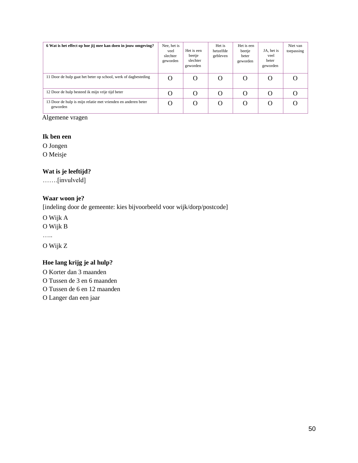| 6 Wat is het effect op hoe jij mee kan doen in jouw omgeving?             | Nee, het is<br>veel<br>slechter<br>geworden | Het is een<br>beetje<br>slechter<br>geworden | Het is<br>hetzelfde<br>gebleven | Het is een<br>beetje<br>beter<br>geworden | JA, het is<br>veel<br>beter<br>geworden | Niet van<br>toepassing |
|---------------------------------------------------------------------------|---------------------------------------------|----------------------------------------------|---------------------------------|-------------------------------------------|-----------------------------------------|------------------------|
| 11 Door de hulp gaat het beter op school, werk of dagbesteding            | O                                           | O                                            | O                               | O                                         | O                                       |                        |
| 12 Door de hulp besteed ik mijn vrije tijd beter                          | $\mathbf{\Omega}$                           |                                              | O                               | O                                         | O                                       |                        |
| 13 Door de hulp is mijn relatie met vrienden en anderen beter<br>geworden | $\Omega$                                    | Ω                                            | O                               | O                                         | O                                       |                        |

Algemene vragen

## **Ik ben een**

O Jongen O Meisje

## **Wat is je leeftijd?**

…….[invulveld]

## **Waar woon je?**

[indeling door de gemeente: kies bijvoorbeeld voor wijk/dorp/postcode]

O Wijk A

O Wijk B

……

O Wijk Z

## **Hoe lang krijg je al hulp?**

<span id="page-49-0"></span>O Korter dan 3 maanden O Tussen de 3 en 6 maanden O Tussen de 6 en 12 maanden O Langer dan een jaar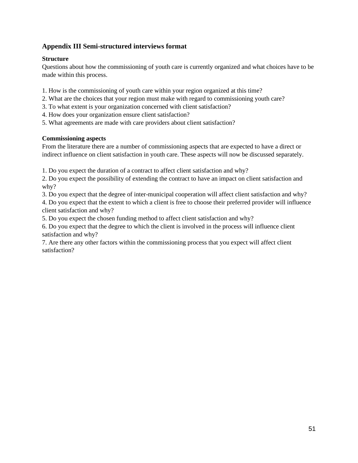## **Appendix III Semi-structured interviews format**

## **Structure**

Questions about how the commissioning of youth care is currently organized and what choices have to be made within this process.

- 1. How is the commissioning of youth care within your region organized at this time?
- 2. What are the choices that your region must make with regard to commissioning youth care?
- 3. To what extent is your organization concerned with client satisfaction?
- 4. How does your organization ensure client satisfaction?
- 5. What agreements are made with care providers about client satisfaction?

### **Commissioning aspects**

From the literature there are a number of commissioning aspects that are expected to have a direct or indirect influence on client satisfaction in youth care. These aspects will now be discussed separately.

1. Do you expect the duration of a contract to affect client satisfaction and why?

2. Do you expect the possibility of extending the contract to have an impact on client satisfaction and why?

3. Do you expect that the degree of inter-municipal cooperation will affect client satisfaction and why?

4. Do you expect that the extent to which a client is free to choose their preferred provider will influence client satisfaction and why?

5. Do you expect the chosen funding method to affect client satisfaction and why?

6. Do you expect that the degree to which the client is involved in the process will influence client satisfaction and why?

7. Are there any other factors within the commissioning process that you expect will affect client satisfaction?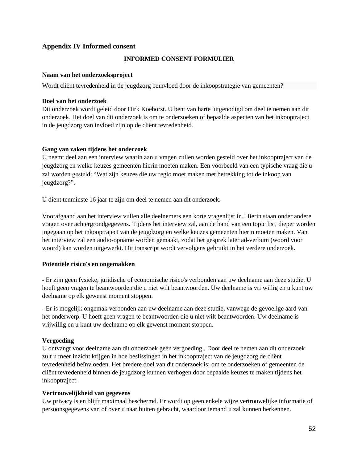## <span id="page-51-0"></span>**Appendix IV Informed consent**

#### **INFORMED CONSENT FORMULIER**

#### **Naam van het onderzoeksproject**

Wordt cliënt tevredenheid in de jeugdzorg beïnvloed door de inkoopstrategie van gemeenten?

#### **Doel van het onderzoek**

Dit onderzoek wordt geleid door Dirk Koehorst. U bent van harte uitgenodigd om deel te nemen aan dit onderzoek. Het doel van dit onderzoek is om te onderzoeken of bepaalde aspecten van het inkooptraject in de jeugdzorg van invloed zijn op de cliënt tevredenheid.

#### **Gang van zaken tijdens het onderzoek**

U neemt deel aan een interview waarin aan u vragen zullen worden gesteld over het inkooptraject van de jeugdzorg en welke keuzes gemeenten hierin moeten maken. Een voorbeeld van een typische vraag die u zal worden gesteld: "Wat zijn keuzes die uw regio moet maken met betrekking tot de inkoop van jeugdzorg?".

U dient tenminste 16 jaar te zijn om deel te nemen aan dit onderzoek.

Voorafgaand aan het interview vullen alle deelnemers een korte vragenlijst in. Hierin staan onder andere vragen over achtergrondgegevens. Tijdens het interview zal, aan de hand van een topic list, dieper worden ingegaan op het inkooptraject van de jeugdzorg en welke keuzes gemeenten hierin moeten maken. Van het interview zal een audio-opname worden gemaakt, zodat het gesprek later ad-verbum (woord voor woord) kan worden uitgewerkt. Dit transcript wordt vervolgens gebruikt in het verdere onderzoek.

#### **Potentiële risico's en ongemakken**

- Er zijn geen fysieke, juridische of economische risico's verbonden aan uw deelname aan deze studie. U hoeft geen vragen te beantwoorden die u niet wilt beantwoorden. Uw deelname is vrijwillig en u kunt uw deelname op elk gewenst moment stoppen.

- Er is mogelijk ongemak verbonden aan uw deelname aan deze studie, vanwege de gevoelige aard van het onderwerp. U hoeft geen vragen te beantwoorden die u niet wilt beantwoorden. Uw deelname is vrijwillig en u kunt uw deelname op elk gewenst moment stoppen.

#### **Vergoeding**

U ontvangt voor deelname aan dit onderzoek geen vergoeding . Door deel te nemen aan dit onderzoek zult u meer inzicht krijgen in hoe beslissingen in het inkooptraject van de jeugdzorg de cliënt tevredenheid beïnvloeden. Het bredere doel van dit onderzoek is: om te onderzoeken of gemeenten de cliënt tevredenheid binnen de jeugdzorg kunnen verhogen door bepaalde keuzes te maken tijdens het inkooptraject.

#### **Vertrouwelijkheid van gegevens**

Uw privacy is en blijft maximaal beschermd. Er wordt op geen enkele wijze vertrouwelijke informatie of persoonsgegevens van of over u naar buiten gebracht, waardoor iemand u zal kunnen herkennen.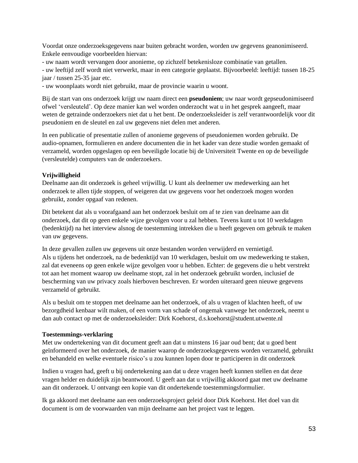Voordat onze onderzoeksgegevens naar buiten gebracht worden, worden uw gegevens geanonimiseerd. Enkele eenvoudige voorbeelden hiervan:

- uw naam wordt vervangen door anonieme, op zichzelf betekenisloze combinatie van getallen.

- uw leeftijd zelf wordt niet verwerkt, maar in een categorie geplaatst. Bijvoorbeeld: leeftijd: tussen 18-25 jaar / tussen 25-35 jaar etc.

- uw woonplaats wordt niet gebruikt, maar de provincie waarin u woont.

Bij de start van ons onderzoek krijgt uw naam direct een **pseudoniem**; uw naar wordt gepseudonimiseerd ofwel 'versleuteld'. Op deze manier kan wel worden onderzocht wat u in het gesprek aangeeft, maar weten de getrainde onderzoekers niet dat u het bent. De onderzoeksleider is zelf verantwoordelijk voor dit pseudoniem en de sleutel en zal uw gegevens niet delen met anderen.

In een publicatie of presentatie zullen of anonieme gegevens of pseudoniemen worden gebruikt. De audio-opnamen, formulieren en andere documenten die in het kader van deze studie worden gemaakt of verzameld, worden opgeslagen op een beveiligde locatie bij de Universiteit Twente en op de beveiligde (versleutelde) computers van de onderzoekers.

## **Vrijwilligheid**

Deelname aan dit onderzoek is geheel vrijwillig. U kunt als deelnemer uw medewerking aan het onderzoek te allen tijde stoppen, of weigeren dat uw gegevens voor het onderzoek mogen worden gebruikt, zonder opgaaf van redenen.

Dit betekent dat als u voorafgaand aan het onderzoek besluit om af te zien van deelname aan dit onderzoek, dat dit op geen enkele wijze gevolgen voor u zal hebben. Tevens kunt u tot 10 werkdagen (bedenktijd) na het interview alsnog de toestemming intrekken die u heeft gegeven om gebruik te maken van uw gegevens.

In deze gevallen zullen uw gegevens uit onze bestanden worden verwijderd en vernietigd. Als u tijdens het onderzoek, na de bedenktijd van 10 werkdagen, besluit om uw medewerking te staken, zal dat eveneens op geen enkele wijze gevolgen voor u hebben. Echter: de gegevens die u hebt verstrekt tot aan het moment waarop uw deelname stopt, zal in het onderzoek gebruikt worden, inclusief de bescherming van uw privacy zoals hierboven beschreven. Er worden uiteraard geen nieuwe gegevens verzameld of gebruikt.

Als u besluit om te stoppen met deelname aan het onderzoek, of als u vragen of klachten heeft, of uw bezorgdheid kenbaar wilt maken, of een vorm van schade of ongemak vanwege het onderzoek, neemt u dan aub contact op met de onderzoeksleider: Dirk Koehorst, d.s.koehorst@student.utwente.nl

## **Toestemmings-verklaring**

Met uw ondertekening van dit document geeft aan dat u minstens 16 jaar oud bent; dat u goed bent geïnformeerd over het onderzoek, de manier waarop de onderzoeksgegevens worden verzameld, gebruikt en behandeld en welke eventuele risico's u zou kunnen lopen door te participeren in dit onderzoek

Indien u vragen had, geeft u bij ondertekening aan dat u deze vragen heeft kunnen stellen en dat deze vragen helder en duidelijk zijn beantwoord. U geeft aan dat u vrijwillig akkoord gaat met uw deelname aan dit onderzoek. U ontvangt een kopie van dit ondertekende toestemmingsformulier.

Ik ga akkoord met deelname aan een onderzoeksproject geleid door Dirk Koehorst. Het doel van dit document is om de voorwaarden van mijn deelname aan het project vast te leggen.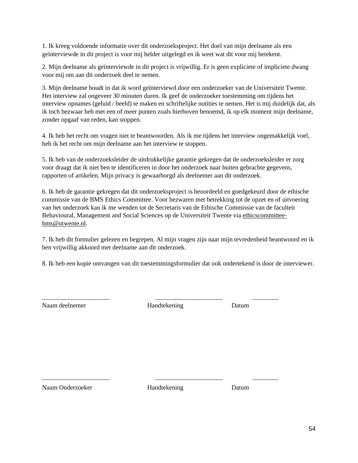1. Ik kreeg voldoende informatie over dit onderzoeksproject. Het doel van mijn deelname als een geïnterviewde in dit project is voor mij helder uitgelegd en ik weet wat dit voor mij betekent.

2. Mijn deelname als geïnterviewde in dit project is vrijwillig. Er is geen expliciete of impliciete dwang voor mij om aan dit onderzoek deel te nemen.

3. Mijn deelname houdt in dat ik word geïnterviewd door een onderzoeker van de Universiteit Twente. Het interview zal ongeveer 30 minuten duren. Ik geef de onderzoeker toestemming om tijdens het interview opnames (geluid / beeld) te maken en schriftelijke notities te nemen. Het is mij duidelijk dat, als ik toch bezwaar heb met een of meer punten zoals hierboven benoemd, ik op elk moment mijn deelname, zonder opgaaf van reden, kan stoppen.

4. Ik heb het recht om vragen niet te beantwoorden. Als ik me tijdens het interview ongemakkelijk voel, heb ik het recht om mijn deelname aan het interview te stoppen.

5. Ik heb van de onderzoeksleider de uitdrukkelijke garantie gekregen dat de onderzoeksleider er zorg voor draagt dat ik niet ben te identificeren in door het onderzoek naar buiten gebrachte gegevens, rapporten of artikelen. Mijn privacy is gewaarborgd als deelnemer aan dit onderzoek.

6. Ik heb de garantie gekregen dat dit onderzoeksproject is beoordeeld en goedgekeurd door de ethische commissie van de BMS Ethics Committee. Voor bezwaren met betrekking tot de opzet en of uitvoering van het onderzoek kan ik me wenden tot de Secretaris van de Ethische Commissie van de faculteit Behavioural, Management and Social Sciences op de Universiteit Twente via [ethicscommittee](mailto:ethicscommittee-bms@utwente.nl)[bms@utwente.nl.](mailto:ethicscommittee-bms@utwente.nl)

7. Ik heb dit formulier gelezen en begrepen. Al mijn vragen zijn naar mijn tevredenheid beantwoord en ik ben vrijwillig akkoord met deelname aan dit onderzoek.

8. Ik heb een kopie ontvangen van dit toestemmingsformulier dat ook ondertekend is door de interviewer.

Naam deelnemer Handtekening Datum

\_\_\_\_\_\_\_\_\_\_\_\_\_\_\_\_\_\_\_\_\_ \_\_\_\_\_\_\_\_\_\_\_\_\_\_\_\_\_\_\_\_\_ \_\_\_\_\_\_\_\_

Naam Onderzoeker **Handtekening** Datum

\_\_\_\_\_\_\_\_\_\_\_\_\_\_\_\_\_\_\_\_\_ \_\_\_\_\_\_\_\_\_\_\_\_\_\_\_\_\_\_\_\_\_ \_\_\_\_\_\_\_\_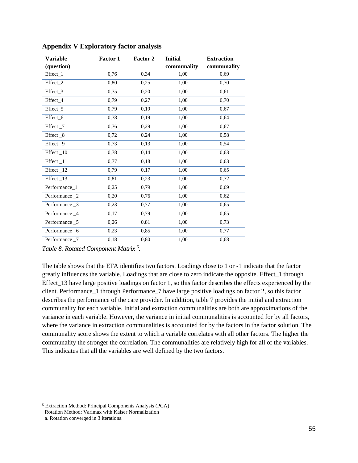| <b>Variable</b>     | <b>Factor 1</b> | <b>Factor 2</b> | <b>Initial</b> | <b>Extraction</b> |
|---------------------|-----------------|-----------------|----------------|-------------------|
| (question)          |                 |                 | communality    | communality       |
| Effect_1            | 0,76            | 0.34            | 1,00           | 0,69              |
| Effect_2            | 0,80            | 0,25            | 1,00           | 0,70              |
| Effect_3            | 0,75            | 0,20            | 1,00           | 0,61              |
| Effect 4            | 0.79            | 0,27            | 1,00           | 0,70              |
| Effect <sub>5</sub> | 0,79            | 0,19            | 1,00           | 0,67              |
| Effect 6            | 0,78            | 0,19            | 1,00           | 0,64              |
| Effect_7            | 0,76            | 0,29            | 1,00           | 0,67              |
| Effect _8           | 0,72            | 0,24            | 1,00           | 0,58              |
| Effect _9           | 0,73            | 0,13            | 1,00           | 0,54              |
| Effect_10           | 0,78            | 0,14            | 1,00           | 0,63              |
| Effect_11           | 0,77            | 0,18            | 1,00           | 0,63              |
| Effect_12           | 0,79            | 0,17            | 1,00           | 0,65              |
| Effect_13           | 0,81            | 0,23            | 1,00           | 0,72              |
| Performance_1       | 0,25            | 0.79            | 1,00           | 0,69              |
| Performance _2      | 0,20            | 0,76            | 1,00           | 0.62              |
| Performance _3      | 0,23            | 0,77            | 1,00           | 0,65              |
| Performance_4       | 0,17            | 0,79            | 1,00           | 0,65              |
| Performance _5      | 0,26            | 0,81            | 1,00           | 0,73              |
| Performance _6      | 0,23            | 0,85            | 1,00           | 0,77              |
| Performance 7       | 0,18            | 0,80            | 1,00           | 0,68              |

<span id="page-54-0"></span>**Appendix V Exploratory factor analysis** 

*Table 8. Rotated Component Matrix <sup>5</sup> .*

The table shows that the EFA identifies two factors. Loadings close to 1 or -1 indicate that the factor greatly influences the variable. Loadings that are close to zero indicate the opposite. Effect\_1 through Effect\_13 have large positive loadings on factor 1, so this factor describes the effects experienced by the client. Performance\_1 through Performance\_7 have large positive loadings on factor 2, so this factor describes the performance of the care provider. In addition, table 7 provides the initial and extraction communality for each variable. Initial and extraction communalities are both are approximations of the variance in each variable. However, the variance in initial communalities is accounted for by all factors, where the variance in extraction communalities is accounted for by the factors in the factor solution. The communality score shows the extent to which a variable correlates with all other factors. The higher the communality the stronger the correlation. The communalities are relatively high for all of the variables. This indicates that all the variables are well defined by the two factors.

<sup>5</sup> Extraction Method: Principal Components Analysis (PCA) Rotation Method: Varimax with Kaiser Normalization a. Rotation converged in 3 iterations.